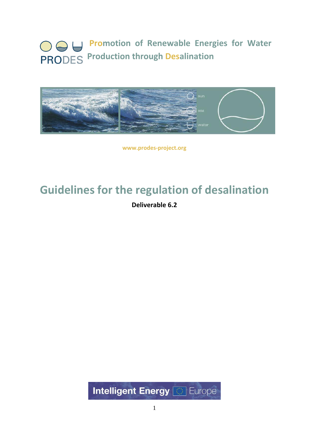# **Promotion of Renewable Energies for Water PRODES** Production through Desalination



**www.prodes‐project.org**

# **Guidelines for the regulation of desalination**

**Deliverable 6.2**

**Intelligent Energy & Europe**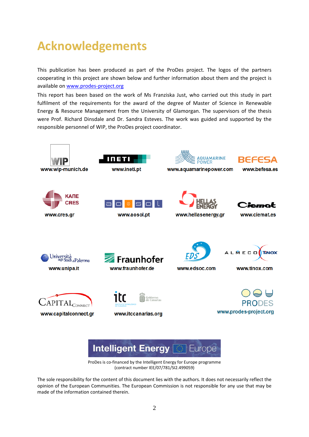# **Acknowledgements**

This publication has been produced as part of the ProDes project. The logos of the partners cooperating in this project are shown below and further information about them and the project is available on [www.prodes](http://www.prodes-project.org/)‐project.org

This report has been based on the work of Ms Franziska Just, who carried out this study in part fulfilment of the requirements for the award of the degree of Master of Science in Renewable Energy & Resource Management from the University of Glamorgan. The supervisors of the thesis were Prof. Richard Dinsdale and Dr. Sandra Esteves. The work was guided and supported by the responsible personnel of WIP, the ProDes project coordinator.





ProDes is co-financed by the Intelligent Energy for Europe programme (contract number IEE/07/781/SI2.499059)

The sole responsibility for the content of this document lies with the authors. It does not necessarily reflect the opinion of the European Communities. The European Commission is not responsible for any use that may be made of the information contained therein.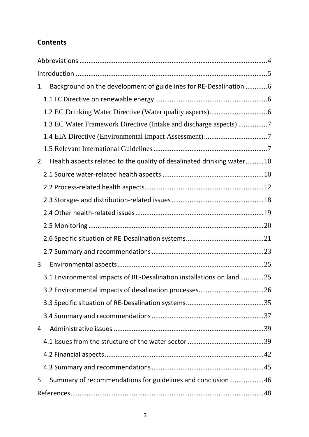# **Contents**

| 1. | Background on the development of guidelines for RE-Desalination  6    |  |  |
|----|-----------------------------------------------------------------------|--|--|
|    |                                                                       |  |  |
|    |                                                                       |  |  |
|    | 1.3 EC Water Framework Directive (Intake and discharge aspects) 7     |  |  |
|    |                                                                       |  |  |
|    |                                                                       |  |  |
| 2. | Health aspects related to the quality of desalinated drinking water10 |  |  |
|    |                                                                       |  |  |
|    |                                                                       |  |  |
|    |                                                                       |  |  |
|    |                                                                       |  |  |
|    |                                                                       |  |  |
|    |                                                                       |  |  |
|    |                                                                       |  |  |
| 3. |                                                                       |  |  |
|    | 3.1 Environmental impacts of RE-Desalination installations on land 25 |  |  |
|    |                                                                       |  |  |
|    |                                                                       |  |  |
|    |                                                                       |  |  |
| 4  |                                                                       |  |  |
|    |                                                                       |  |  |
|    |                                                                       |  |  |
|    |                                                                       |  |  |
| 5  | Summary of recommendations for guidelines and conclusion46            |  |  |
|    |                                                                       |  |  |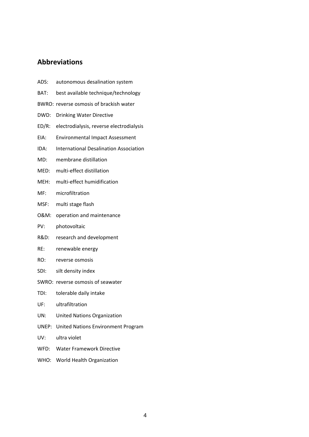# <span id="page-3-0"></span>**Abbreviations**

- ADS: autonomous desalination system
- BAT: best available technique/technology
- BWRO: reverse osmosis of brackish water
- DWD: Drinking Water Directive
- ED/R: electrodialysis, reverse electrodialysis
- EIA: Environmental Impact Assessment
- IDA: International Desalination Association
- MD: membrane distillation
- MED: multi-effect distillation
- MEH: multi‐effect humidification
- MF: microfiltration
- MSF: multi stage flash
- O&M: operation and maintenance
- PV: photovoltaic
- R&D: research and development
- RE: renewable energy
- RO: reverse osmosis
- SDI: silt density index
- SWRO: reverse osmosis of seawater
- TDI: tolerable daily intake
- UF: ultrafiltration
- UN: United Nations Organization
- UNEP: United Nations Environment Program
- UV: ultra violet
- WFD: Water Framework Directive
- WHO: World Health Organization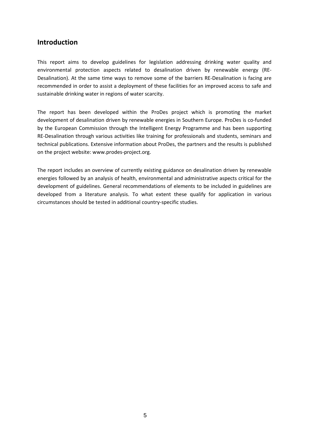# <span id="page-4-0"></span>**Introduction**

This report aims to develop guidelines for legislation addressing drinking water quality and environmental protection aspects related to desalination driven by renewable energy (RE‐ Desalination). At the same time ways to remove some of the barriers RE‐Desalination is facing are recommended in order to assist a deployment of these facilities for an improved access to safe and sustainable drinking water in regions of water scarcity.

The report has been developed within the ProDes project which is promoting the market development of desalination driven by renewable energies in Southern Europe. ProDes is co-funded by the European Commission through the Intelligent Energy Programme and has been supporting RE-Desalination through various activities like training for professionals and students, seminars and technical publications. Extensive information about ProDes, the partners and the results is published on the project website: [www.prodes](http://www.prodes-project.org/)‐project.org.

The report includes an overview of currently existing guidance on desalination driven by renewable energies followed by an analysis of health, environmental and administrative aspects critical for the development of guidelines. General recommendations of elements to be included in guidelines are developed from a literature analysis. To what extent these qualify for application in various circumstances should be tested in additional country‐specific studies.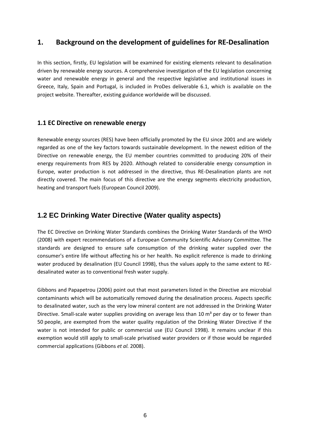# <span id="page-5-0"></span>**1. Background on the development of guidelines for RE‐Desalination**

In this section, firstly, EU legislation will be examined for existing elements relevant to desalination driven by renewable energy sources. A comprehensive investigation of the EU legislation concerning water and renewable energy in general and the respective legislative and institutional issues in Greece, Italy, Spain and Portugal, is included in ProDes deliverable 6.1, which is available on the project website. Thereafter, existing guidance worldwide will be discussed.

# **1.1 EC Directive on renewable energy**

Renewable energy sources (RES) have been officially promoted by the EU since 2001 and are widely regarded as one of the key factors towards sustainable development. In the newest edition of the Directive on renewable energy, the EU member countries committed to producing 20% of their energy requirements from RES by 2020. Although related to considerable energy consumption in Europe, water production is not addressed in the directive, thus RE‐Desalination plants are not directly covered. The main focus of this directive are the energy segments electricity production, heating and transport fuels (European Council 2009).

# **1.2 EC Drinking Water Directive (Water quality aspects)**

The EC Directive on Drinking Water Standards combines the Drinking Water Standards of the WHO (2008) with expert recommendations of a European Community Scientific Advisory Committee. The standards are designed to ensure safe consumption of the drinking water supplied over the consumer's entire life without affecting his or her health. No explicit reference is made to drinking water produced by desalination (EU Council 1998), thus the values apply to the same extent to REdesalinated water as to conventional fresh water supply.

Gibbons and Papapetrou (2006) point out that most parameters listed in the Directive are microbial contaminants which will be automatically removed during the desalination process. Aspects specific to desalinated water, such as the very low mineral content are not addressed in the Drinking Water Directive. Small-scale water supplies providing on average less than 10  $m<sup>3</sup>$  per day or to fewer than 50 people, are exempted from the water quality regulation of the Drinking Water Directive if the water is not intended for public or commercial use (EU Council 1998). It remains unclear if this exemption would still apply to small-scale privatised water providers or if those would be regarded commercial applications (Gibbons *et al.* 2008).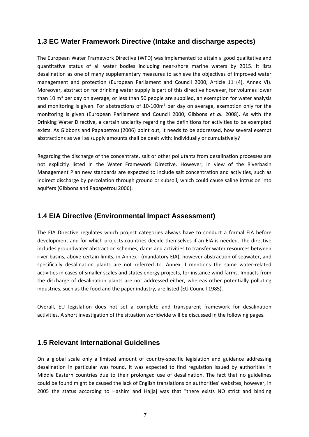# <span id="page-6-0"></span>**1.3 EC Water Framework Directive (Intake and discharge aspects)**

The European Water Framework Directive (WFD) was implemented to attain a good qualitative and quantitative status of all water bodies including near‐shore marine waters by 2015. It lists desalination as one of many supplementary measures to achieve the objectives of improved water management and protection (European Parliament and Council 2000, Article 11 (4), Annex VI). Moreover, abstraction for drinking water supply is part of this directive however, for volumes lower than 10  $m<sup>3</sup>$  per day on average, or less than 50 people are supplied, an exemption for water analysis and monitoring is given. For abstractions of  $10\n-100m<sup>3</sup>$  per day on average, exemption only for the monitoring is given (European Parliament and Council 2000, Gibbons *et al.* 2008). As with the Drinking Water Directive, a certain unclarity regarding the definitions for activities to be exempted exists. As Gibbons and Papapetrou (2006) point out, it needs to be addressed, how several exempt abstractions as well as supply amounts shall be dealt with: individually or cumulatively?

Regarding the discharge of the concentrate, salt or other pollutants from desalination processes are not explicitly listed in the Water Framework Directive. However, in view of the Riverbasin Management Plan new standards are expected to include salt concentration and activities, such as indirect discharge by percolation through ground or subsoil, which could cause saline intrusion into aquifers (Gibbons and Papapetrou 2006).

# **1.4 EIA Directive (Environmental Impact Assessment)**

The EIA Directive regulates which project categories always have to conduct a formal EIA before development and for which projects countries decide themselves if an EIA is needed. The directive includes groundwater abstraction schemes, dams and activities to transfer water resources between river basins, above certain limits, in Annex I (mandatory EIA), however abstraction of seawater, and specifically desalination plants are not referred to. Annex II mentions the same water-related activities in cases of smaller scales and states energy projects, for instance wind farms. Impacts from the discharge of desalination plants are not addressed either, whereas other potentially polluting industries, such as the food and the paper industry, are listed (EU Council 1985).

Overall, EU legislation does not set a complete and transparent framework for desalination activities. A short investigation of the situation worldwide will be discussed in the following pages.

# **1.5 Relevant International Guidelines**

On a global scale only a limited amount of country-specific legislation and guidance addressing desalination in particular was found. It was expected to find regulation issued by authorities in Middle Eastern countries due to their prolonged use of desalination. The fact that no guidelines could be found might be caused the lack of English translations on authorities' websites, however, in 2005 the status according to Hashim and Hajjaj was that "there exists NO strict and binding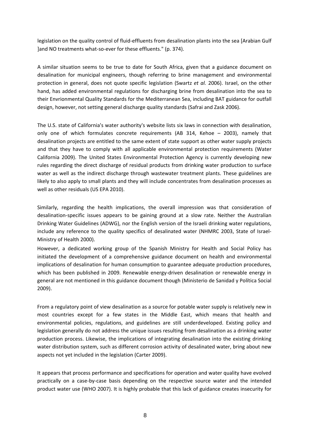legislation on the quality control of fluid‐effluents from desalination plants into the sea [Arabian Gulf ]and NO treatments what‐so‐ever for these effluents." (p. 374).

A similar situation seems to be true to date for South Africa, given that a guidance document on desalination for municipal engineers, though referring to brine management and environmental protection in general, does not quote specific legislation (Swartz *et al.* 2006). Israel, on the other hand, has added environmental regulations for discharging brine from desalination into the sea to their Envrionmental Quality Standards for the Mediterranean Sea, including BAT guidance for outfall design, however, not setting general discharge quality standards (Safrai and Zask 2006).

The U.S. state of California's water authority's website lists six laws in connection with desalination, only one of which formulates concrete requirements (AB 314, Kehoe – 2003), namely that desalination projects are entitled to the same extent of state support as other water supply projects and that they have to comply with all applicable environmental protection requirements (Water California 2009). The United States Environmental Protection Agency is currently developing new rules regarding the direct discharge of residual products from drinking water production to surface water as well as the indirect discharge through wastewater treatment plants. These guidelines are likely to also apply to small plants and they will include concentrates from desalination processes as well as other residuals (US EPA 2010).

Similarly, regarding the health implications, the overall impression was that consideration of desalination‐specific issues appears to be gaining ground at a slow rate. Neither the Australian Drinking Water Guidelines (ADWG), nor the English version of the Israeli drinking water regulations, include any reference to the quality specifics of desalinated water (NHMRC 2003, State of Israel‐ Ministry of Health 2000).

However, a dedicated working group of the Spanish Ministry for Health and Social Policy has initiated the development of a comprehensive guidance document on health and environmental implications of desalination for human consumption to guarantee adequate production procedures, which has been published in 2009. Renewable energy-driven desalination or renewable energy in general are not mentioned in this guidance document though (Ministerio de Sanidad y Política Social 2009).

From a regulatory point of view desalination as a source for potable water supply is relatively new in most countries except for a few states in the Middle East, which means that health and environmental policies, regulations, and guidelines are still underdeveloped. Existing policy and legislation generally do not address the unique issues resulting from desalination as a drinking water production process. Likewise, the implications of integrating desalination into the existing drinking water distribution system, such as different corrosion activity of desalinated water, bring about new aspects not yet included in the legislation (Carter 2009).

It appears that process performance and specifications for operation and water quality have evolved practically on a case‐by‐case basis depending on the respective source water and the intended product water use (WHO 2007). It is highly probable that this lack of guidance creates insecurity for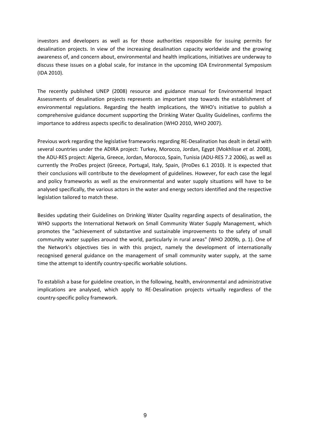investors and developers as well as for those authorities responsible for issuing permits for desalination projects. In view of the increasing desalination capacity worldwide and the growing awareness of, and concern about, environmental and health implications, initiatives are underway to discuss these issues on a global scale, for instance in the upcoming IDA Environmental Symposium (IDA 2010).

The recently published UNEP (2008) resource and guidance manual for Environmental Impact Assessments of desalination projects represents an important step towards the establishment of environmental regulations. Regarding the health implications, the WHO's initiative to publish a comprehensive guidance document supporting the Drinking Water Quality Guidelines, confirms the importance to address aspects specific to desalination (WHO 2010, WHO 2007).

Previous work regarding the legislative frameworks regarding RE‐Desalination has dealt in detail with several countries under the ADIRA project: Turkey, Morocco, Jordan, Egypt (Mokhlisse *et al.* 2008), the ADU‐RES project: Algeria, Greece, Jordan, Morocco, Spain, Tunisia (ADU‐RES 7.2 2006), as well as currently the ProDes project (Greece, Portugal, Italy, Spain, (ProDes 6.1 2010). It is expected that their conclusions will contribute to the development of guidelines. However, for each case the legal and policy frameworks as well as the environmental and water supply situations will have to be analysed specifically, the various actors in the water and energy sectors identified and the respective legislation tailored to match these.

Besides updating their Guidelines on Drinking Water Quality regarding aspects of desalination, the WHO supports the International Network on Small Community Water Supply Management, which promotes the "achievement of substantive and sustainable improvements to the safety of small community water supplies around the world, particularly in rural areas" (WHO 2009b, p. 1). One of the Network's objectives ties in with this project, namely the development of internationally recognised general guidance on the management of small community water supply, at the same time the attempt to identify country‐specific workable solutions.

To establish a base for guideline creation, in the following, health, environmental and administrative implications are analysed, which apply to RE‐Desalination projects virtually regardless of the country‐specific policy framework.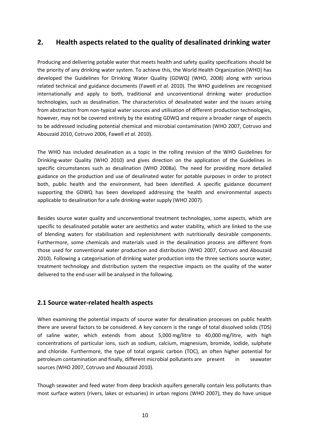# <span id="page-9-0"></span>**2. Health aspects related to the quality of desalinated drinking water**

Producing and delivering potable water that meets health and safety quality specifications should be the priority of any drinking water system. To achieve this, the World Health Organization (WHO) has developed the Guidelines for Drinking Water Quality (GDWQ) (WHO, 2008) along with various related technical and guidance documents (Fawell *et al.* 2010). The WHO guidelines are recognised internationally and apply to both, traditional and unconventional drinking water production technologies, such as desalination. The characteristics of desalinated water and the issues arising from abstraction from non-typical water sources and utilisation of different production technologies, however, may not be covered entirely by the existing GDWQ and require a broader range of aspects to be addressed including potential chemical and microbial contamination (WHO 2007, Cotruvo and Abouzaid 2010, Cotruvo 2006, Fawell *et al.* 2010).

The WHO has included desalination as a topic in the rolling revision of the WHO Guidelines for Drinking‐water Quality (WHO 2010) and gives direction on the application of the Guidelines in specific circumstances such as desalination (WHO 2008a). The need for providing more detailed guidance on the production and use of desalinated water for potable purposes in order to protect both, public health and the environment, had been identified. A specific guidance document supporting the GDWQ has been developed addressing the health and environmental aspects applicable to desalination for a safe drinking‐water supply (WHO 2007).

Besides source water quality and unconventional treatment technologies, some aspects, which are specific to desalinated potable water are aesthetics and water stability, which are linked to the use of blending waters for stabilisation and replenishment with nutritionally desirable components. Furthermore, some chemicals and materials used in the desalination process are different from those used for conventional water production and distribution (WHO 2007, Cotruvo and Abouzaid 2010). Following a categorisation of drinking water production into the three sections source water, treatment technology and distribution system the respective impacts on the quality of the water delivered to the end‐user will be analysed in the following.

## **2.1 Source water‐related health aspects**

When examining the potential impacts of source water for desalination processes on public health there are several factors to be considered. A key concern is the range of total dissolved solids (TDS) of saline water, which extends from about 5,000 mg/litre to 40,000 mg/litre, with high concentrations of particular ions, such as sodium, calcium, magnesium, bromide, iodide, sulphate and chloride. Furthermore, the type of total organic carbon (TOC), an often higher potential for petroleum contamination and finally, different microbial pollutants are present in seawater sources (WHO 2007, Cotruvo and Abouzaid 2010).

Though seawater and feed water from deep brackish aquifers generally contain less pollutants than most surface waters (rivers, lakes or estuaries) in urban regions (WHO 2007), they do have unique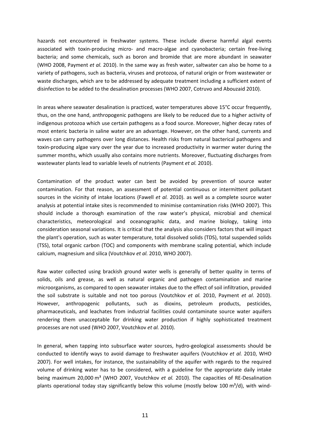hazards not encountered in freshwater systems. These include diverse harmful algal events associated with toxin-producing micro- and macro-algae and cyanobacteria; certain free-living bacteria; and some chemicals, such as boron and bromide that are more abundant in seawater (WHO 2008, Payment *et al.* 2010). In the same way as fresh water, saltwater can also be home to a variety of pathogens, such as bacteria, viruses and protozoa, of natural origin or from wastewater or waste discharges, which are to be addressed by adequate treatment including a sufficient extent of disinfection to be added to the desalination processes (WHO 2007, Cotruvo and Abouzaid 2010).

In areas where seawater desalination is practiced, water temperatures above 15°C occur frequently, thus, on the one hand, anthropogenic pathogens are likely to be reduced due to a higher activity of indigenous protozoa which use certain pathogens as a food source. Moreover, higher decay rates of most enteric bacteria in saline water are an advantage. However, on the other hand, currents and waves can carry pathogens over long distances. Health risks from natural bacterical pathogens and toxin‐producing algae vary over the year due to increased productivity in warmer water during the summer months, which usually also contains more nutrients. Moreover, fluctuating discharges from wastewater plants lead to variable levels of nutrients (Payment *et al.* 2010).

Contamination of the product water can best be avoided by prevention of source water contamination. For that reason, an assessment of potential continuous or intermittent pollutant sources in the vicinity of intake locations (Fawell *et al.* 2010). as well as a complete source water analysis at potential intake sites is recommended to minimise contamination risks (WHO 2007). This should include a thorough examination of the raw water's physical, microbial and chemical characteristics, meteorological and oceanographic data, and marine biology, taking into consideration seasonal variations. It is critical that the analysis also considers factors that will impact the plant's operation, such as water temperature, total dissolved solids (TDS), total suspended solids (TSS), total organic carbon (TOC) and components with membrane scaling potential, which include calcium, magnesium and silica (Voutchkov *et al.* 2010, WHO 2007).

Raw water collected using brackish ground water wells is generally of better quality in terms of solids, oils and grease, as well as natural organic and pathogen contamination and marine microorganisms, as compared to open seawater intakes due to the effect of soil infiltration, provided the soil substrate is suitable and not too porous (Voutchkov *et al.* 2010, Payment *et al.* 2010). However, anthropogenic pollutants, such as dioxins, petroleum products, pesticides, pharmaceuticals, and leachates from industrial facilities could contaminate source water aquifers rendering them unacceptable for drinking water production if highly sophisticated treatment processes are not used (WHO 2007, Voutchkov *et al.* 2010).

In general, when tapping into subsurface water sources, hydro‐geological assessments should be conducted to identify ways to avoid damage to freshwater aquifers (Voutchkov *et al.* 2010, WHO 2007). For well intakes, for instance, the sustainability of the aquifer with regards to the required volume of drinking water has to be considered, with a guideline for the appropriate daily intake being maximum 20,000 m³ (WHO 2007, Voutchkov *et al.* 2010). The capacities of RE‐Desalination plants operational today stay significantly below this volume (mostly below 100  $\text{m}^3/\text{d}$ ), with wind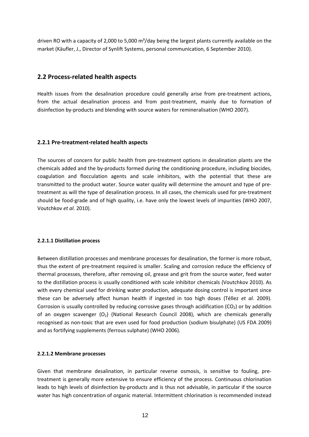<span id="page-11-0"></span>driven RO with a capacity of 2,000 to 5,000  $\text{m}^3$ /day being the largest plants currently available on the market (Käufler, J., Director of Synlift Systems, personal communication, 6 September 2010).

## **2.2 Process‐related health aspects**

Health issues from the desalination procedure could generally arise from pre-treatment actions, from the actual desalination process and from post-treatment, mainly due to formation of disinfection by‐products and blending with source waters for remineralisation (WHO 2007).

#### **2.2.1 Pre‐treatment‐related health aspects**

The sources of concern for public health from pre-treatment options in desalination plants are the chemicals added and the by‐products formed during the conditioning procedure, including biocides, coagulation and flocculation agents and scale inhibitors, with the potential that these are transmitted to the product water. Source water quality will determine the amount and type of pre‐ treatment as will the type of desalination process. In all cases, the chemicals used for pre‐treatment should be food‐grade and of high quality, i.e. have only the lowest levels of impurities (WHO 2007, Voutchkov *et al.* 2010).

#### **2.2.1.1 Distillation process**

Between distillation processes and membrane processes for desalination, the former is more robust, thus the extent of pre‐treatment required is smaller. Scaling and corrosion reduce the efficiency of thermal processes, therefore, after removing oil, grease and grit from the source water, feed water to the distillation process is usually conditioned with scale inhibitor chemicals (Voutchkov 2010). As with every chemical used for drinking water production, adequate dosing control is important since these can be adversely affect human health if ingested in too high doses (Téllez *et al.* 2009). Corrosion is usually controlled by reducing corrosive gases through acidification ( $CO<sub>2</sub>$ ) or by addition of an oxygen scavenger  $(O_2)$  (National Research Council 2008), which are chemicals generally recognised as non‐toxic that are even used for food production (sodium bisulphate) (US FDA 2009) and as fortifying supplements (ferrous sulphate) (WHO 2006).

#### **2.2.1.2 Membrane processes**

Given that membrane desalination, in particular reverse osmosis, is sensitive to fouling, pretreatment is generally more extensive to ensure efficiency of the process. Continuous chlorination leads to high levels of disinfection by‐products and is thus not advisable, in particular if the source water has high concentration of organic material. Intermittent chlorination is recommended instead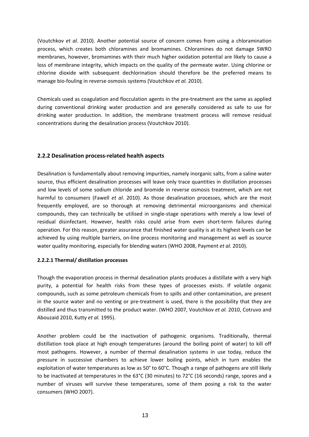(Voutchkov *et al.* 2010). Another potential source of concern comes from using a chloramination process, which creates both chloramines and bromamines. Chloramines do not damage SWRO membranes, however, bromamines with their much higher oxidation potential are likely to cause a loss of membrane integrity, which impacts on the quality of the permeate water. Using chlorine or chlorine dioxide with subsequent dechlorination should therefore be the preferred means to manage bio‐fouling in reverse osmosis systems (Voutchkov *et al.* 2010).

Chemicals used as coagulation and flocculation agents in the pre‐treatment are the same as applied during conventional drinking water production and are generally considered as safe to use for drinking water production. In addition, the membrane treatment process will remove residual concentrations during the desalination process (Voutchkov 2010).

## **2.2.2 Desalination process‐related health aspects**

Desalination is fundamentally about removing impurities, namely inorganic salts, from a saline water source, thus efficient desalination processes will leave only trace quantities in distillation processes and low levels of some sodium chloride and bromide in reverse osmosis treatment, which are not harmful to consumers (Fawell *et al.* 2010). As those desalination processes, which are the most frequently employed, are so thorough at removing detrimental microorganisms and chemical compounds, they can technically be utilised in single‐stage operations with merely a low level of residual disinfectant. However, health risks could arise from even short-term failures during operation. For this reason, greater assurance that finished water quality is at its highest levels can be achieved by using multiple barriers, on-line process monitoring and management as well as source water quality monitoring, especially for blending waters (WHO 2008, Payment *et al.* 2010).

## **2.2.2.1 Thermal/ distillation processes**

Though the evaporation process in thermal desalination plants produces a distillate with a very high purity, a potential for health risks from these types of processes exists. If volatile organic compounds, such as some petroleum chemicals from to spills and other contamination, are present in the source water and no venting or pre-treatment is used, there is the possibility that they are distilled and thus transmitted to the product water. (WHO 2007, Voutchkov *et al.* 2010, Cotruvo and Abouzaid 2010, Kutty *et al.* 1995).

Another problem could be the inactivation of pathogenic organisms. Traditionally, thermal distillation took place at high enough temperatures (around the boiling point of water) to kill off most pathogens. However, a number of thermal desalination systems in use today, reduce the pressure in successive chambers to achieve lower boiling points, which in turn enables the exploitation of water temperatures as low as 50° to 60°C. Though a range of pathogens are still likely to be inactivated at temperatures in the 63°C (30 minutes) to 72°C (16 seconds) range, spores and a number of viruses will survive these temperatures, some of them posing a risk to the water consumers (WHO 2007).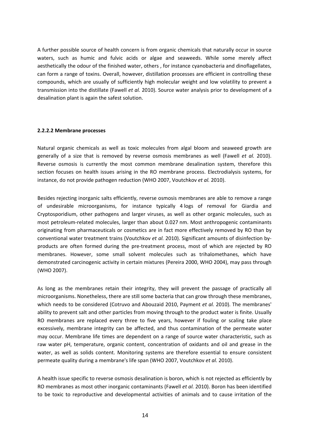A further possible source of health concern is from organic chemicals that naturally occur in source waters, such as humic and fulvic acids or algae and seaweeds. While some merely affect aesthetically the odour of the finished water, others , for instance cyanobacteria and dinoflagellates, can form a range of toxins. Overall, however, distillation processes are efficient in controlling these compounds, which are usually of sufficiently high molecular weight and low volatility to prevent a transmission into the distillate (Fawell *et al.* 2010). Source water analysis prior to development of a desalination plant is again the safest solution.

#### **2.2.2.2 Membrane processes**

Natural organic chemicals as well as toxic molecules from algal bloom and seaweed growth are generally of a size that is removed by reverse osmosis membranes as well (Fawell *et al.* 2010). Reverse osmosis is currently the most common membrane desalination system, therefore this section focuses on health issues arising in the RO membrane process. Electrodialysis systems, for instance, do not provide pathogen reduction (WHO 2007, Voutchkov *et al.* 2010).

Besides rejecting inorganic salts efficiently, reverse osmosis membranes are able to remove a range of undesirable microorganisms, for instance typically 4 logs of removal for Giardia and Cryptosporidium, other pathogens and larger viruses, as well as other organic molecules, such as most petroleum‐related molecules, larger than about 0.027 nm. Most anthropogenic contaminants originating from pharmaceuticals or cosmetics are in fact more effectively removed by RO than by conventional water treatment trains (Voutchkov *et al.* 2010). Significant amounts of disinfection by‐ products are often formed during the pre‐treatment process, most of which are rejected by RO membranes. However, some small solvent molecules such as trihalomethanes, which have demonstrated carcinogenic activity in certain mixtures (Pereira 2000, WHO 2004), may pass through (WHO 2007).

As long as the membranes retain their integrity, they will prevent the passage of practically all microorganisms. Nonetheless, there are still some bacteria that can grow through these membranes, which needs to be considered (Cotruvo and Abouzaid 2010, Payment *et al.* 2010). The membranes' ability to prevent salt and other particles from moving through to the product water is finite. Usually RO membranes are replaced every three to five years, however if fouling or scaling take place excessively, membrane integrity can be affected, and thus contamination of the permeate water may occur. Membrane life times are dependent on a range of source water characteristic, such as raw water pH, temperature, organic content, concentration of oxidants and oil and grease in the water, as well as solids content. Monitoring systems are therefore essential to ensure consistent permeate quality during a membrane's life span (WHO 2007, Voutchkov *et al.* 2010).

A health issue specific to reverse osmosis desalination is boron, which is not rejected as efficiently by RO membranes as most other inorganic contaminants (Fawell *et al.* 2010). Boron has been identified to be toxic to reproductive and developmental activities of animals and to cause irritation of the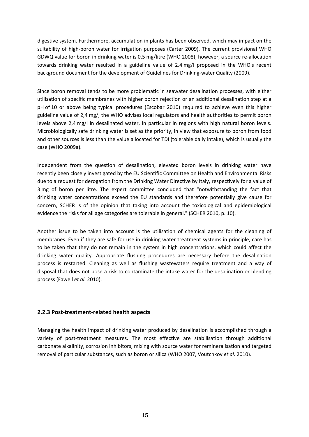digestive system. Furthermore, accumulation in plants has been observed, which may impact on the suitability of high-boron water for irrigation purposes (Carter 2009). The current provisional WHO GDWQ value for boron in drinking water is 0.5 mg/litre (WHO 2008), however, a source re-allocation towards drinking water resulted in a guideline value of 2.4 mg/l proposed in the WHO's recent background document for the development of Guidelines for Drinking‐water Quality (2009).

Since boron removal tends to be more problematic in seawater desalination processes, with either utilisation of specific membranes with higher boron rejection or an additional desalination step at a pH of 10 or above being typical procedures (Escobar 2010) required to achieve even this higher guideline value of 2,4 mg/, the WHO advises local regulators and health authorities to permit boron levels above 2,4 mg/l in desalinated water, in particular in regions with high natural boron levels. Microbiologically safe drinking water is set as the priority, in view that exposure to boron from food and other sources is less than the value allocated for TDI (tolerable daily intake), which is usually the case (WHO 2009a).

Independent from the question of desalination, elevated boron levels in drinking water have recently been closely investigated by the EU Scientific Committee on Health and Environmental Risks due to a request for derogation from the Drinking Water Directive by Italy, respectively for a value of 3 mg of boron per litre. The expert committee concluded that "notwithstanding the fact that drinking water concentrations exceed the EU standards and therefore potentially give cause for concern, SCHER is of the opinion that taking into account the toxicological and epidemiological evidence the risks for all age categories are tolerable in general." (SCHER 2010, p. 10).

Another issue to be taken into account is the utilisation of chemical agents for the cleaning of membranes. Even if they are safe for use in drinking water treatment systems in principle, care has to be taken that they do not remain in the system in high concentrations, which could affect the drinking water quality. Appropriate flushing procedures are necessary before the desalination process is restarted. Cleaning as well as flushing wastewaters require treatment and a way of disposal that does not pose a risk to contaminate the intake water for the desalination or blending process (Fawell *et al.* 2010).

## **2.2.3 Post‐treatment‐related health aspects**

Managing the health impact of drinking water produced by desalination is accomplished through a variety of post-treatment measures. The most effective are stabilisation through additional carbonate alkalinity, corrosion inhibitors, mixing with source water for remineralisation and targeted removal of particular substances, such as boron or silica (WHO 2007, Voutchkov *et al.* 2010).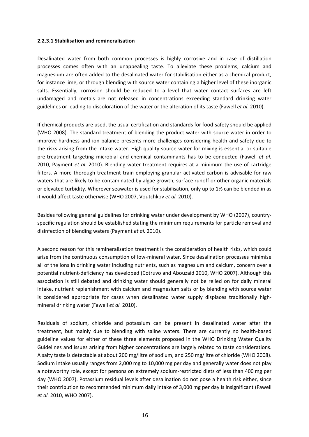#### **2.2.3.1 Stabilisation and remineralisation**

Desalinated water from both common processes is highly corrosive and in case of distillation processes comes often with an unappealing taste. To alleviate these problems, calcium and magnesium are often added to the desalinated water for stabilisation either as a chemical product, for instance lime, or through blending with source water containing a higher level of these inorganic salts. Essentially, corrosion should be reduced to a level that water contact surfaces are left undamaged and metals are not released in concentrations exceeding standard drinking water guidelines or leading to discoloration of the water or the alteration of its taste (Fawell *et al.* 2010).

If chemical products are used, the usual certification and standards for food‐safety should be applied (WHO 2008). The standard treatment of blending the product water with source water in order to improve hardness and ion balance presents more challenges considering health and safety due to the risks arising from the intake water. High quality source water for mixing is essential or suitable pre‐treatment targeting microbial and chemical contaminants has to be conducted (Fawell *et al.* 2010, Payment *et al.* 2010). Blending water treatment requires at a minimum the use of cartridge filters. A more thorough treatment train employing granular activated carbon is advisable for raw waters that are likely to be contaminated by algae growth, surface runoff or other organic materials or elevated turbidity. Wherever seawater is used for stabilisation, only up to 1% can be blended in as it would affect taste otherwise (WHO 2007, Voutchkov *et al.* 2010).

Besides following general guidelines for drinking water under development by WHO (2007), country‐ specific regulation should be established stating the minimum requirements for particle removal and disinfection of blending waters (Payment *et al.* 2010).

A second reason for this remineralisation treatment is the consideration of health risks, which could arise from the continuous consumption of low-mineral water. Since desalination processes minimise all of the ions in drinking water including nutrients, such as magnesium and calcium, concern over a potential nutrient‐deficiency has developed (Cotruvo and Abouzaid 2010, WHO 2007). Although this association is still debated and drinking water should generally not be relied on for daily mineral intake, nutrient replenishment with calcium and magnesium salts or by blending with source water is considered appropriate for cases when desalinated water supply displaces traditionally highmineral drinking water (Fawell *et al.* 2010).

Residuals of sodium, chloride and potassium can be present in desalinated water after the treatment, but mainly due to blending with saline waters. There are currently no health‐based guideline values for either of these three elements proposed in the WHO Drinking Water Quality Guidelines and issues arising from higher concentrations are largely related to taste considerations. A salty taste is detectable at about 200 mg/litre of sodium, and 250 mg/litre of chloride (WHO 2008). Sodium intake usually ranges from 2,000 mg to 10,000 mg per day and generally water does not play a noteworthy role, except for persons on extremely sodium‐restricted diets of less than 400 mg per day (WHO 2007). Potassium residual levels after desalination do not pose a health risk either, since their contribution to recommended minimum daily intake of 3,000 mg per day is insignificant (Fawell *et al.* 2010, WHO 2007).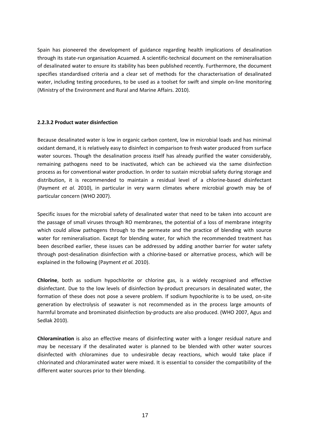Spain has pioneered the development of guidance regarding health implications of desalination through its state‐run organisation Acuamed. A scientific‐technical document on the remineralisation of desalinated water to ensure its stability has been published recently. Furthermore, the document specifies standardised criteria and a clear set of methods for the characterisation of desalinated water, including testing procedures, to be used as a toolset for swift and simple on-line monitoring (Ministry of the Environment and Rural and Marine Affairs. 2010).

#### **2.2.3.2 Product water disinfection**

Because desalinated water is low in organic carbon content, low in microbial loads and has minimal oxidant demand, it is relatively easy to disinfect in comparison to fresh water produced from surface water sources. Though the desalination process itself has already purified the water considerably, remaining pathogens need to be inactivated, which can be achieved via the same disinfection process as for conventional water production. In order to sustain microbial safety during storage and distribution, it is recommended to maintain a residual level of a chlorine‐based disinfectant (Payment *et al.* 2010), in particular in very warm climates where microbial growth may be of particular concern (WHO 2007).

Specific issues for the microbial safety of desalinated water that need to be taken into account are the passage of small viruses through RO membranes, the potential of a loss of membrane integrity which could allow pathogens through to the permeate and the practice of blending with source water for remineralisation. Except for blending water, for which the recommended treatment has been described earlier, these issues can be addressed by adding another barrier for water safety through post-desalination disinfection with a chlorine-based or alternative process, which will be explained in the following (Payment *et al.* 2010).

**Chlorine**, both as sodium hypochlorite or chlorine gas, is a widely recognised and effective disinfectant. Due to the low levels of disinfection by‐product precursors in desalinated water, the formation of these does not pose a severe problem. If sodium hypochlorite is to be used, on‐site generation by electrolysis of seawater is not recommended as in the process large amounts of harmful bromate and brominated disinfection by-products are also produced. (WHO 2007, Agus and Sedlak 2010).

**Chloramination** is also an effective means of disinfecting water with a longer residual nature and may be necessary if the desalinated water is planned to be blended with other water sources disinfected with chloramines due to undesirable decay reactions, which would take place if chlorinated and chloraminated water were mixed. It is essential to consider the compatibility of the different water sources prior to their blending.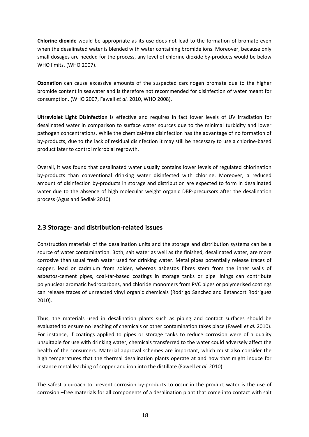<span id="page-17-0"></span>**Chlorine dioxide** would be appropriate as its use does not lead to the formation of bromate even when the desalinated water is blended with water containing bromide ions. Moreover, because only small dosages are needed for the process, any level of chlorine dioxide by-products would be below WHO limits. (WHO 2007).

**Ozonation** can cause excessive amounts of the suspected carcinogen bromate due to the higher bromide content in seawater and is therefore not recommended for disinfection of water meant for consumption. (WHO 2007, Fawell *et al.* 2010, WHO 2008).

**Ultraviolet Light Disinfection i**s effective and requires in fact lower levels of UV irradiation for desalinated water in comparison to surface water sources due to the minimal turbidity and lower pathogen concentrations. While the chemical‐free disinfection has the advantage of no formation of by‐products, due to the lack of residual disinfection it may still be necessary to use a chlorine‐based product later to control microbial regrowth.

Overall, it was found that desalinated water usually contains lower levels of regulated chlorination by‐products than conventional drinking water disinfected with chlorine. Moreover, a reduced amount of disinfection by‐products in storage and distribution are expected to form in desalinated water due to the absence of high molecular weight organic DBP-precursors after the desalination process (Agus and Sedlak 2010).

# **2.3 Storage‐ and distribution‐related issues**

Construction materials of the desalination units and the storage and distribution systems can be a source of water contamination. Both, salt water as well as the finished, desalinated water, are more corrosive than usual fresh water used for drinking water. Metal pipes potentially release traces of copper, lead or cadmium from solder, whereas asbestos fibres stem from the inner walls of asbestos‐cement pipes, coal‐tar‐based coatings in storage tanks or pipe linings can contribute polynuclear aromatic hydrocarbons, and chloride monomers from PVC pipes or polymerised coatings can release traces of unreacted vinyl organic chemicals (Rodrigo Sanchez and Betancort Rodríguez 2010).

Thus, the materials used in desalination plants such as piping and contact surfaces should be evaluated to ensure no leaching of chemicals or other contamination takes place (Fawell *et al.* 2010). For instance, if coatings applied to pipes or storage tanks to reduce corrosion were of a quality unsuitable for use with drinking water, chemicals transferred to the water could adversely affect the health of the consumers. Material approval schemes are important, which must also consider the high temperatures that the thermal desalination plants operate at and how that might induce for instance metal leaching of copper and iron into the distillate (Fawell *et al.* 2010).

The safest approach to prevent corrosion by-products to occur in the product water is the use of corrosion –free materials for all components of a desalination plant that come into contact with salt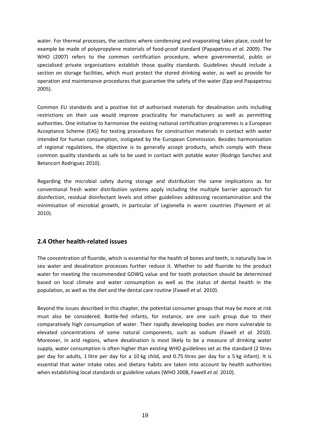<span id="page-18-0"></span>water. For thermal processes, the sections where condensing and evaporating takes place, could for example be made of polypropylene materials of food‐proof standard (Papapetrou *et al.* 2009). The WHO (2007) refers to the common certification procedure, where governmental, public or specialised private organisations establish those quality standards. Guidelines should include a section on storage facilities, which must protect the stored drinking water, as well as provide for operation and maintenance procedures that guarantee the safety of the water (Epp and Papapetrou 2005).

Common EU standards and a positive list of authorised materials for desalination units including restrictions on their use would improve practicality for manufacturers as well as permitting authorities. One initiative to harmonise the existing national certification programmes is a European Acceptance Scheme (EAS) for testing procedures for construction materials in contact with water intended for human consumption, instigated by the European Commission. Besides harmonisation of regional regulations, the objective is to generally accept products, which comply with these common quality standards as safe to be used in contact with potable water (Rodrigo Sanchez and Betancort Rodríguez 2010).

Regarding the microbial safety during storage and distribution the same implications as for conventional fresh water distribution systems apply including the multiple barrier approach for disinfection, residual disinfectant levels and other guidelines addressing recontamination and the minimisation of microbial growth, in particular of Legionella in warm countries (Payment *et al.* 2010).

## **2.4 Other health‐related issues**

The concentration of fluoride, which is essential for the health of bones and teeth, is naturally low in sea water and desalination processes further reduce it. Whether to add fluoride to the product water for meeting the recommended GDWQ value and for tooth protection should be determined based on local climate and water consumption as well as the status of dental health in the population, as well as the diet and the dental care routine (Fawell *et al.* 2010).

Beyond the issues described in this chapter, the potential consumer groups that may be more at risk must also be considered. Bottle‐fed infants, for instance, are one such group due to their comparatively high consumption of water. Their rapidly developing bodies are more vulnerable to elevated concentrations of some natural components, such as sodium (Fawell *et al.* 2010). Moreover, in arid regions, where desalination is most likely to be a measure of drinking water supply, water consumption is often higher than existing WHO guidelines set as the standard (2 litres per day for adults, 1 litre per day for a 10 kg child, and 0.75 litres per day for a 5 kg infant). It is essential that water intake rates and dietary habits are taken into account by health authorities when establishing local standards or guideline values (WHO 2008, Fawell *et al.* 2010).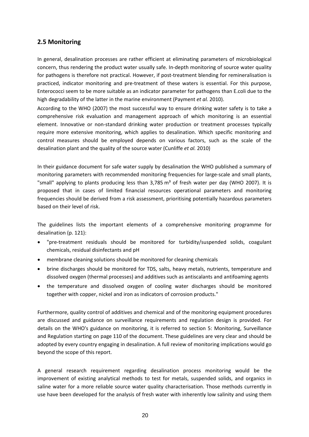# <span id="page-19-0"></span>**2.5 Monitoring**

In general, desalination processes are rather efficient at eliminating parameters of microbiological concern, thus rendering the product water usually safe. In‐depth monitoring of source water quality for pathogens is therefore not practical. However, if post-treatment blending for remineralisation is practiced, indicator monitoring and pre‐treatment of these waters is essential. For this purpose, Enterococci seem to be more suitable as an indicator parameter for pathogens than E.coli due to the high degradability of the latter in the marine environment (Payment *et al.* 2010).

According to the WHO (2007) the most successful way to ensure drinking water safety is to take a comprehensive risk evaluation and management approach of which monitoring is an essential element. Innovative or non-standard drinking water production or treatment processes typically require more extensive monitoring, which applies to desalination. Which specific monitoring and control measures should be employed depends on various factors, such as the scale of the desalination plant and the quality of the source water (Cunliffe *et al.* 2010)

In their guidance document for safe water supply by desalination the WHO published a summary of monitoring parameters with recommended monitoring frequencies for large-scale and small plants, "small" applying to plants producing less than 3,785  $m<sup>3</sup>$  of fresh water per day (WHO 2007). It is proposed that in cases of limited financial resources operational parameters and monitoring frequencies should be derived from a risk assessment, prioritising potentially hazardous parameters based on their level of risk.

The guidelines lists the important elements of a comprehensive monitoring programme for desalination (p. 121):

- "pre‐treatment residuals should be monitored for turbidity/suspended solids, coagulant chemicals, residual disinfectants and pH
- membrane cleaning solutions should be monitored for cleaning chemicals
- brine discharges should be monitored for TDS, salts, heavy metals, nutrients, temperature and dissolved oxygen (thermal processes) and additives such as antiscalants and antifoaming agents
- the temperature and dissolved oxygen of cooling water discharges should be monitored together with copper, nickel and iron as indicators of corrosion products."

Furthermore, quality control of additives and chemical and of the monitoring equipment procedures are discussed and guidance on surveillance requirements and regulation design is provided. For details on the WHO's guidance on monitoring, it is referred to section 5: Monitoring, Surveillance and Regulation starting on page 110 of the document. These guidelines are very clear and should be adopted by every country engaging in desalination. A full review of monitoring implications would go beyond the scope of this report.

A general research requirement regarding desalination process monitoring would be the improvement of existing analytical methods to test for metals, suspended solids, and organics in saline water for a more reliable source water quality characterisation. Those methods currently in use have been developed for the analysis of fresh water with inherently low salinity and using them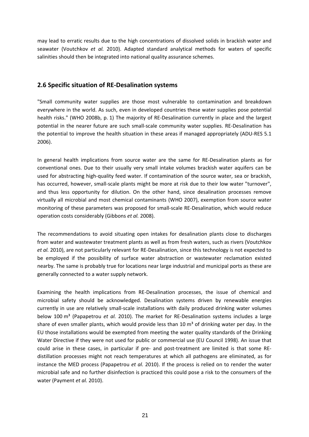<span id="page-20-0"></span>may lead to erratic results due to the high concentrations of dissolved solids in brackish water and seawater (Voutchkov *et al.* 2010). Adapted standard analytical methods for waters of specific salinities should then be integrated into national quality assurance schemes.

# **2.6 Specific situation of RE‐Desalination systems**

"Small community water supplies are those most vulnerable to contamination and breakdown everywhere in the world. As such, even in developed countries these water supplies pose potential health risks." (WHO 2008b, p. 1) The majority of RE-Desalination currently in place and the largest potential in the nearer future are such small‐scale community water supplies. RE‐Desalination has the potential to improve the health situation in these areas if managed appropriately (ADU‐RES 5.1 2006).

In general health implications from source water are the same for RE‐Desalination plants as for conventional ones. Due to their usually very small intake volumes brackish water aquifers can be used for abstracting high‐quality feed water. If contamination of the source water, sea or brackish, has occurred, however, small-scale plants might be more at risk due to their low water "turnover", and thus less opportunity for dilution. On the other hand, since desalination processes remove virtually all microbial and most chemical contaminants (WHO 2007), exemption from source water monitoring of these parameters was proposed for small‐scale RE‐Desalination, which would reduce operation costs considerably (Gibbons *et al.* 2008).

The recommendations to avoid situating open intakes for desalination plants close to discharges from water and wastewater treatment plants as well as from fresh waters, such as rivers (Voutchkov *et al.* 2010), are not particularly relevant for RE‐Desalination, since this technology is not expected to be employed if the possibility of surface water abstraction or wastewater reclamation existed nearby. The same is probably true for locations near large industrial and municipal ports as these are generally connected to a water supply network.

Examining the health implications from RE‐Desalination processes, the issue of chemical and microbial safety should be acknowledged. Desalination systems driven by renewable energies currently in use are relatively small‐scale installations with daily produced drinking water volumes below 100 m³ (Papapetrou *et al.* 2010). The market for RE‐Desalination systems includes a large share of even smaller plants, which would provide less than 10  $\text{m}^3$  of drinking water per day. In the EU those installations would be exempted from meeting the water quality standards of the Drinking Water Directive if they were not used for public or commercial use (EU Council 1998). An issue that could arise in these cases, in particular if pre- and post-treatment are limited is that some REdistillation processes might not reach temperatures at which all pathogens are eliminated, as for instance the MED process (Papapetrou *et al.* 2010). If the process is relied on to render the water microbial safe and no further disinfection is practiced this could pose a risk to the consumers of the water (Payment *et al.* 2010).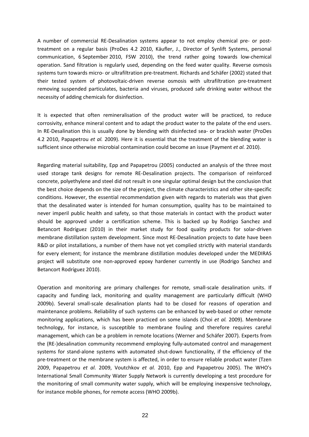A number of commercial RE‐Desalination systems appear to not employ chemical pre‐ or post‐ treatment on a regular basis (ProDes 4.2 2010, Käufler, J., Director of Synlift Systems, personal communication, 6 September 2010, FSW 2010), the trend rather going towards low‐chemical operation. Sand filtration is regularly used, depending on the feed water quality. Reverse osmosis systems turn towards micro‐ or ultrafiltration pre‐treatment. Richards and Schäfer (2002) stated that their tested system of photovoltaic‐driven reverse osmosis with ultrafiltration pre‐treatment removing suspended particulates, bacteria and viruses, produced safe drinking water without the necessity of adding chemicals for disinfection.

It is expected that often remineralisation of the product water will be practiced, to reduce corrosivity, enhance mineral content and to adapt the product water to the palate of the end users. In RE-Desalination this is usually done by blending with disinfected sea- or brackish water (ProDes 4.2 2010, Papapetrou *et al.* 2009). Here it is essential that the treatment of the blending water is sufficient since otherwise microbial contamination could become an issue (Payment *et al.* 2010).

Regarding material suitability, Epp and Papapetrou (2005) conducted an analysis of the three most used storage tank designs for remote RE‐Desalination projects. The comparison of reinforced concrete, polyethylene and steel did not result in one singular optimal design but the conclusion that the best choice depends on the size of the project, the climate characteristics and other site‐specific conditions. However, the essential recommendation given with regards to materials was that given that the desalinated water is intended for human consumption, quality has to be maintained to never imperil public health and safety, so that those materials in contact with the product water should be approved under a certification scheme. This is backed up by Rodrigo Sanchez and Betancort Rodríguez (2010) in their market study for food quality products for solar-driven membrane distillation system development. Since most RE‐Desalination projects to date have been R&D or pilot installations, a number of them have not yet complied strictly with material standards for every element; for instance the membrane distillation modules developed under the MEDIRAS project will substitute one non‐approved epoxy hardener currently in use (Rodrigo Sanchez and Betancort Rodríguez 2010).

Operation and monitoring are primary challenges for remote, small‐scale desalination units. If capacity and funding lack, monitoring and quality management are particularly difficult (WHO 2009b). Several small‐scale desalination plants had to be closed for reasons of operation and maintenance problems. Reliability of such systems can be enhanced by web‐based or other remote monitoring applications, which has been practiced on some islands (Choi *et al.* 2009). Membrane technology, for instance, is susceptible to membrane fouling and therefore requires careful management, which can be a problem in remote locations (Werner and Schäfer 2007). Experts from the (RE‐)desalination community recommend employing fully‐automated control and management systems for stand-alone systems with automated shut-down functionality, if the efficiency of the pre‐treatment or the membrane system is affected, in order to ensure reliable product water (Tzen 2009, Papapetrou *et al.* 2009, Voutchkov *et al.* 2010, Epp and Papapetrou 2005). The WHO's International Small Community Water Supply Network is currently developing a test procedure for the monitoring of small community water supply, which will be employing inexpensive technology, for instance mobile phones, for remote access (WHO 2009b).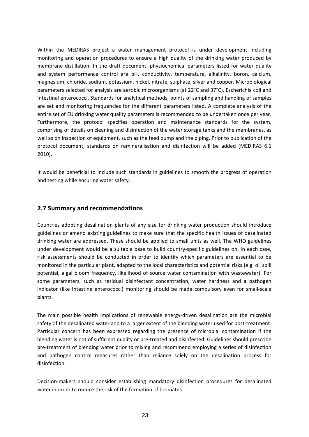<span id="page-22-0"></span>Within the MEDIRAS project a water management protocol is under development including monitoring and operation procedures to ensure a high quality of the drinking water produced by membrane distillation. In the draft document, physiochemical parameters listed for water quality and system performance control are pH, conductivity, temperature, alkalinity, boron, calcium, magnesium, chloride, sodium, potassium, nickel, nitrate, sulphate, silver and copper. Microbiological parameters selected for analysis are aerobic microorganisms (at 22°C and 37°C), Escherichia coli and Intestinal enterococci. Standards for analytical methods, points of sampling and handling of samples are set and monitoring frequencies for the different parameters listed. A complete analysis of the entire set of EU drinking water quality parameters is recommended to be undertaken once per year. Furthermore, the protocol specifies operation and maintenance standards for the system, comprising of details on cleaning and disinfection of the water storage tanks and the membranes, as well as on inspection of equipment, such as the feed pump and the piping. Prior to publication of the protocol document, standards on remineralisation and disinfection will be added (MEDIRAS 6.1 2010).

It would be beneficial to include such standards in guidelines to smooth the progress of operation and testing while ensuring water safety.

## **2.7 Summary and recommendations**

Countries adopting desalination plants of any size for drinking water production should introduce guidelines or amend existing guidelines to make sure that the specific health issues of desalinated drinking water are addressed. These should be applied to small units as well. The WHO guidelines under development would be a suitable base to build country‐specific guidelines on. In each case, risk assessments should be conducted in order to identify which parameters are essential to be monitored in the particular plant, adapted to the local characteristics and potential risks (e.g. oil spill potential, algal bloom frequency, likelihood of source water contamination with wastewater). For some parameters, such as residual disinfectant concentration, water hardness and a pathogen indicator (like Intestine enterococci) monitoring should be made compulsory even for small‐scale plants.

The main possible health implications of renewable energy-driven desalination are the microbial safety of the desalinated water and to a larger extent of the blending water used for post-treatment. Particular concern has been expressed regarding the presence of microbial contamination if the blending water is not of sufficient quality or pre‐treated and disinfected. Guidelines should prescribe pre‐treatment of blending water prior to mixing and recommend employing a series of disinfection and pathogen control measures rather than reliance solely on the desalination process for disinfection.

Decision‐makers should consider establishing mandatory disinfection procedures for desalinated water in order to reduce the risk of the formation of bromates.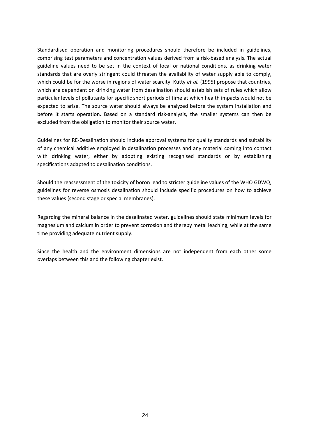Standardised operation and monitoring procedures should therefore be included in guidelines, comprising test parameters and concentration values derived from a risk‐based analysis. The actual guideline values need to be set in the context of local or national conditions, as drinking water standards that are overly stringent could threaten the availability of water supply able to comply, which could be for the worse in regions of water scarcity. Kutty *et al.* (1995) propose that countries, which are dependant on drinking water from desalination should establish sets of rules which allow particular levels of pollutants for specific short periods of time at which health impacts would not be expected to arise. The source water should always be analyzed before the system installation and before it starts operation. Based on a standard risk-analysis, the smaller systems can then be excluded from the obligation to monitor their source water.

Guidelines for RE‐Desalination should include approval systems for quality standards and suitability of any chemical additive employed in desalination processes and any material coming into contact with drinking water, either by adopting existing recognised standards or by establishing specifications adapted to desalination conditions.

Should the reassessment of the toxicity of boron lead to stricter guideline values of the WHO GDWQ, guidelines for reverse osmosis desalination should include specific procedures on how to achieve these values (second stage or special membranes).

Regarding the mineral balance in the desalinated water, guidelines should state minimum levels for magnesium and calcium in order to prevent corrosion and thereby metal leaching, while at the same time providing adequate nutrient supply.

Since the health and the environment dimensions are not independent from each other some overlaps between this and the following chapter exist.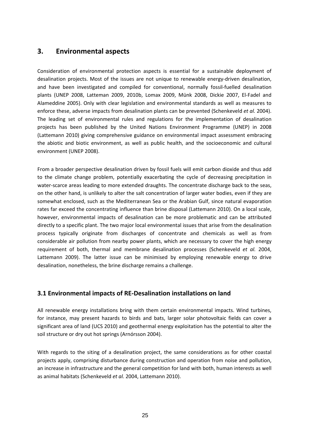# <span id="page-24-0"></span>**3. Environmental aspects**

Consideration of environmental protection aspects is essential for a sustainable deployment of desalination projects. Most of the issues are not unique to renewable energy-driven desalination, and have been investigated and compiled for conventional, normally fossil-fuelled desalination plants (UNEP 2008, Latteman 2009, 2010b, Lomax 2009, Münk 2008, Dickie 2007, El‐Fadel and Alameddine 2005). Only with clear legislation and environmental standards as well as measures to enforce these, adverse impacts from desalination plants can be prevented (Schenkeveld *et al.* 2004). The leading set of environmental rules and regulations for the implementation of desalination projects has been published by the United Nations Environment Programme (UNEP) in 2008 (Lattemann 2010) giving comprehensive guidance on environmental impact assessment embracing the abiotic and biotic environment, as well as public health, and the socioeconomic and cultural environment (UNEP 2008).

From a broader perspective desalination driven by fossil fuels will emit carbon dioxide and thus add to the climate change problem, potentially exacerbating the cycle of decreasing precipitation in water-scarce areas leading to more extended draughts. The concentrate discharge back to the seas, on the other hand, is unlikely to alter the salt concentration of larger water bodies, even if they are somewhat enclosed, such as the Mediterranean Sea or the Arabian Gulf, since natural evaporation rates far exceed the concentrating influence than brine disposal (Lattemann 2010). On a local scale, however, environmental impacts of desalination can be more problematic and can be attributed directly to a specific plant. The two major local environmental issues that arise from the desalination process typically originate from discharges of concentrate and chemicals as well as from considerable air pollution from nearby power plants, which are necessary to cover the high energy requirement of both, thermal and membrane desalination processes (Schenkeveld *et al.* 2004, Lattemann 2009). The latter issue can be minimised by employing renewable energy to drive desalination, nonetheless, the brine discharge remains a challenge.

# **3.1 Environmental impacts of RE‐Desalination installations on land**

All renewable energy installations bring with them certain environmental impacts. Wind turbines, for instance, may present hazards to birds and bats, larger solar photovoltaic fields can cover a significant area of land (UCS 2010) and geothermal energy exploitation has the potential to alter the soil structure or dry out hot springs (Arnórsson 2004).

With regards to the siting of a desalination project, the same considerations as for other coastal projects apply, comprising disturbance during construction and operation from noise and pollution, an increase in infrastructure and the general competition for land with both, human interests as well as animal habitats (Schenkeveld *et al.* 2004, Lattemann 2010).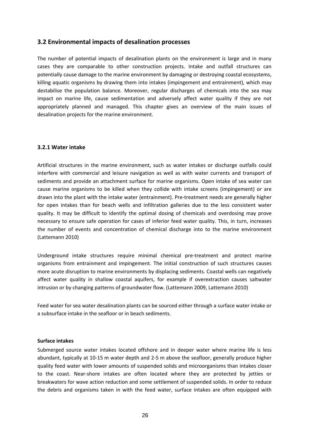## <span id="page-25-0"></span>**3.2 Environmental impacts of desalination processes**

The number of potential impacts of desalination plants on the environment is large and in many cases they are comparable to other construction projects. Intake and outfall structures can potentially cause damage to the marine environment by damaging or destroying coastal ecosystems, killing aquatic organisms by drawing them into intakes (impingement and entrainment), which may destabilise the population balance. Moreover, regular discharges of chemicals into the sea may impact on marine life, cause sedimentation and adversely affect water quality if they are not appropriately planned and managed. This chapter gives an overview of the main issues of desalination projects for the marine environment.

#### **3.2.1 Water intake**

Artificial structures in the marine environment, such as water intakes or discharge outfalls could interfere with commercial and leisure navigation as well as with water currents and transport of sediments and provide an attachment surface for marine organisms. Open intake of sea water can cause marine organisms to be killed when they collide with intake screens (impingement) or are drawn into the plant with the intake water (entrainment). Pre‐treatment needs are generally higher for open intakes than for beach wells and infiltration galleries due to the less consistent water quality. It may be difficult to identify the optimal dosing of chemicals and overdosing may prove necessary to ensure safe operation for cases of inferior feed water quality. This, in turn, increases the number of events and concentration of chemical discharge into to the marine environment (Lattemann 2010)

Underground intake structures require minimal chemical pre‐treatment and protect marine organisms from entrainment and impingement. The initial construction of such structures causes more acute disruption to marine environments by displacing sediments. Coastal wells can negatively affect water quality in shallow coastal aquifers, for example if overextraction causes saltwater intrusion or by changing patterns of groundwater flow. (Lattemann 2009, Lattemann 2010)

Feed water for sea water desalination plants can be sourced either through a surface water intake or a subsurface intake in the seafloor or in beach sediments.

#### **Surface intakes**

Submerged source water intakes located offshore and in deeper water where marine life is less abundant, typically at 10‐15 m water depth and 2‐5 m above the seafloor, generally produce higher quality feed water with lower amounts of suspended solids and microorganisms than intakes closer to the coast. Near‐shore intakes are often located where they are protected by jetties or breakwaters for wave action reduction and some settlement of suspended solids. In order to reduce the debris and organisms taken in with the feed water, surface intakes are often equipped with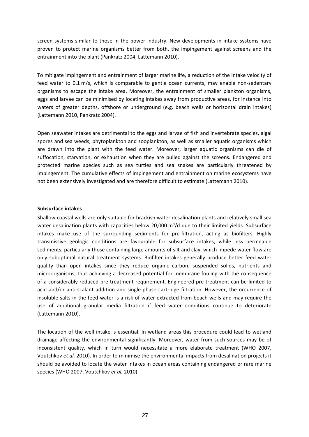screen systems similar to those in the power industry. New developments in intake systems have proven to protect marine organisms better from both, the impingement against screens and the entrainment into the plant (Pankratz 2004, Lattemann 2010).

To mitigate impingement and entrainment of larger marine life, a reduction of the intake velocity of feed water to 0.1 m/s, which is comparable to gentle ocean currents, may enable non-sedentary organisms to escape the intake area. Moreover, the entrainment of smaller plankton organisms, eggs and larvae can be minimised by locating intakes away from productive areas, for instance into waters of greater depths, offshore or underground (e.g. beach wells or horizontal drain intakes) (Lattemann 2010, Pankratz 2004).

Open seawater intakes are detrimental to the eggs and larvae of fish and invertebrate species, algal spores and sea weeds, phytoplankton and zooplankton, as well as smaller aquatic organisms which are drawn into the plant with the feed water. Moreover, larger aquatic organisms can die of suffocation, starvation, or exhaustion when they are pulled against the screens**.** Endangered and protected marine species such as sea turtles and sea snakes are particularly threatened by impingement. The cumulative effects of impingement and entrainment on marine ecosystems have not been extensively investigated and are therefore difficult to estimate (Lattemann 2010).

#### **Subsurface intakes**

Shallow coastal wells are only suitable for brackish water desalination plants and relatively small sea water desalination plants with capacities below 20,000 m<sup>3</sup>/d due to their limited yields. Subsurface intakes make use of the surrounding sediments for pre-filtration, acting as biofilters. Highly transmissive geologic conditions are favourable for subsurface intakes, while less permeable sediments, particularly those containing large amounts of silt and clay, which impede water flow are only suboptimal natural treatment systems. Biofilter intakes generally produce better feed water quality than open intakes since they reduce organic carbon, suspended solids, nutrients and microorganisms, thus achieving a decreased potential for membrane fouling with the consequence of a considerably reduced pre‐treatment requirement. Engineered pre‐treatment can be limited to acid and/or anti-scalant addition and single-phase cartridge filtration. However, the occurrence of insoluble salts in the feed water is a risk of water extracted from beach wells and may require the use of additional granular media filtration if feed water conditions continue to deteriorate (Lattemann 2010).

The location of the well intake is essential. In wetland areas this procedure could lead to wetland drainage affecting the environmental significantly. Moreover, water from such sources may be of inconsistent quality, which in turn would necessitate a more elaborate treatment (WHO 2007, Voutchkov *et al.* 2010). In order to minimise the environmental impacts from desalination projects it should be avoided to locate the water intakes in ocean areas containing endangered or rare marine species (WHO 2007, Voutchkov *et al.* 2010).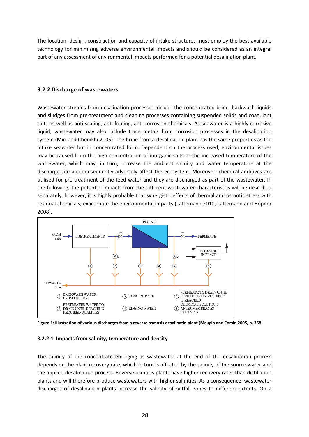The location, design, construction and capacity of intake structures must employ the best available technology for minimising adverse environmental impacts and should be considered as an integral part of any assessment of environmental impacts performed for a potential desalination plant.

### **3.2.2 Discharge of wastewaters**

Wastewater streams from desalination processes include the concentrated brine, backwash liquids and sludges from pre‐treatment and cleaning processes containing suspended solids and coagulant salts as well as anti‐scaling, anti‐fouling, anti‐corrosion chemicals. As seawater is a highly corrosive liquid, wastewater may also include trace metals from corrosion processes in the desalination system (Miri and Chouikhi 2005). The brine from a desalination plant has the same properties as the intake seawater but in concentrated form. Dependent on the process used, environmental issues may be caused from the high concentration of inorganic salts or the increased temperature of the wastewater, which may, in turn, increase the ambient salinity and water temperature at the discharge site and consequently adversely affect the ecosystem. Moreover, chemical additives are utilised for pre‐treatment of the feed water and they are discharged as part of the wastewater. In the following, the potential impacts from the different wastewater characteristics will be described separately, however, it is highly probable that synergistic effects of thermal and osmotic stress with residual chemicals, exacerbate the environmental impacts (Lattemann 2010, Lattemann and Höpner 2008).



Figure 1: Illustration of various discharges from a reverse osmosis desalinatin plant (Maugin and Corsin 2005, p. 358)

#### **3.2.2.1 Impacts from salinity, temperature and density**

The salinity of the concentrate emerging as wastewater at the end of the desalination process depends on the plant recovery rate, which in turn is affected by the salinity of the source water and the applied desalination process. Reverse osmosis plants have higher recovery rates than distillation plants and will therefore produce wastewaters with higher salinities. As a consequence, wastewater discharges of desalination plants increase the salinity of outfall zones to different extents. On a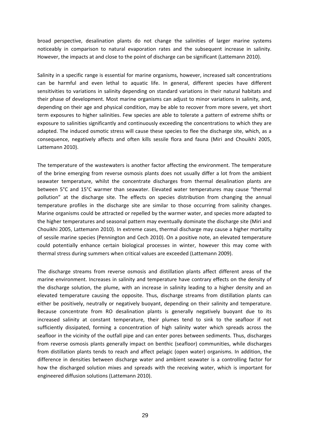broad perspective, desalination plants do not change the salinities of larger marine systems noticeably in comparison to natural evaporation rates and the subsequent increase in salinity. However, the impacts at and close to the point of discharge can be significant (Lattemann 2010).

Salinity in a specific range is essential for marine organisms, however, increased salt concentrations can be harmful and even lethal to aquatic life. In general, different species have different sensitivities to variations in salinity depending on standard variations in their natural habitats and their phase of development. Most marine organisms can adjust to minor variations in salinity, and, depending on their age and physical condition, may be able to recover from more severe, yet short term exposures to higher salinities. Few species are able to tolerate a pattern of extreme shifts or exposure to salinities significantly and continuously exceeding the concentrations to which they are adapted. The induced osmotic stress will cause these species to flee the discharge site, which, as a consequence, negatively affects and often kills sessile flora and fauna (Miri and Chouikhi 2005, Lattemann 2010).

The temperature of the wastewaters is another factor affecting the environment. The temperature of the brine emerging from reverse osmosis plants does not usually differ a lot from the ambient seawater temperature, whilst the concentrate discharges from thermal desalination plants are between 5°C and 15°C warmer than seawater. Elevated water temperatures may cause "thermal pollution" at the discharge site. The effects on species distribution from changing the annual temperature profiles in the discharge site are similar to those occurring from salinity changes. Marine organisms could be attracted or repelled by the warmer water, and species more adapted to the higher temperatures and seasonal pattern may eventually dominate the discharge site (Miri and Chouikhi 2005, Lattemann 2010). In extreme cases, thermal discharge may cause a higher mortality of sessile marine species (Pennington and Cech 2010). On a positive note, an elevated temperature could potentially enhance certain biological processes in winter, however this may come with thermal stress during summers when critical values are exceeded (Lattemann 2009).

The discharge streams from reverse osmosis and distillation plants affect different areas of the marine environment. Increases in salinity and temperature have contrary effects on the density of the discharge solution, the plume, with an increase in salinity leading to a higher density and an elevated temperature causing the opposite. Thus, discharge streams from distillation plants can either be positively, neutrally or negatively buoyant, depending on their salinity and temperature. Because concentrate from RO desalination plants is generally negatively buoyant due to its increased salinity at constant temperature, their plumes tend to sink to the seafloor if not sufficiently dissipated, forming a concentration of high salinity water which spreads across the seafloor in the vicinity of the outfall pipe and can enter pores between sediments. Thus, discharges from reverse osmosis plants generally impact on benthic (seafloor) communities, while discharges from distillation plants tends to reach and affect pelagic (open water) organisms. In addition, the difference in densities between discharge water and ambient seawater is a controlling factor for how the discharged solution mixes and spreads with the receiving water, which is important for engineered diffusion solutions (Lattemann 2010).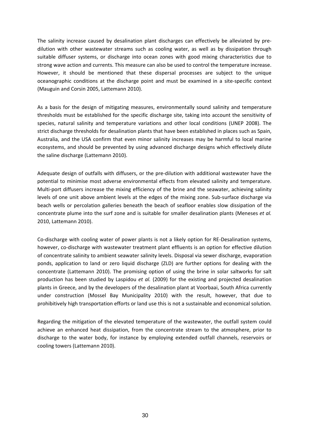The salinity increase caused by desalination plant discharges can effectively be alleviated by predilution with other wastewater streams such as cooling water, as well as by dissipation through suitable diffuser systems, or discharge into ocean zones with good mixing characteristics due to strong wave action and currents. This measure can also be used to control the temperature increase. However, it should be mentioned that these dispersal processes are subject to the unique oceanographic conditions at the discharge point and must be examined in a site‐specific context (Mauguin and Corsin 2005, Lattemann 2010).

As a basis for the design of mitigating measures, environmentally sound salinity and temperature thresholds must be established for the specific discharge site, taking into account the sensitivity of species, natural salinity and temperature variations and other local conditions (UNEP 2008). The strict discharge thresholds for desalination plants that have been established in places such as Spain, Australia, and the USA confirm that even minor salinity increases may be harmful to local marine ecosystems, and should be prevented by using advanced discharge designs which effectively dilute the saline discharge (Lattemann 2010).

Adequate design of outfalls with diffusers, or the pre‐dilution with additional wastewater have the potential to minimise most adverse environmental effects from elevated salinity and temperature. Multi-port diffusers increase the mixing efficiency of the brine and the seawater, achieving salinity levels of one unit above ambient levels at the edges of the mixing zone. Sub‐surface discharge via beach wells or percolation galleries beneath the beach of seafloor enables slow dissipation of the concentrate plume into the surf zone and is suitable for smaller desalination plants (Meneses *et al.* 2010, Lattemann 2010).

Co-discharge with cooling water of power plants is not a likely option for RE-Desalination systems, however, co-discharge with wastewater treatment plant effluents is an option for effective dilution of concentrate salinity to ambient seawater salinity levels. Disposal via sewer discharge, evaporation ponds, application to land or zero liquid discharge (ZLD) are further options for dealing with the concentrate (Lattemann 2010). The promising option of using the brine in solar saltworks for salt production has been studied by Laspidou *et al.* (2009) for the existing and projected desalination plants in Greece, and by the developers of the desalination plant at Voorbaai, South Africa currently under construction (Mossel Bay Municipality 2010) with the result, however, that due to prohibitively high transportation efforts or land use this is not a sustainable and economical solution.

Regarding the mitigation of the elevated temperature of the wastewater, the outfall system could achieve an enhanced heat dissipation, from the concentrate stream to the atmosphere, prior to discharge to the water body, for instance by employing extended outfall channels, reservoirs or cooling towers (Lattemann 2010).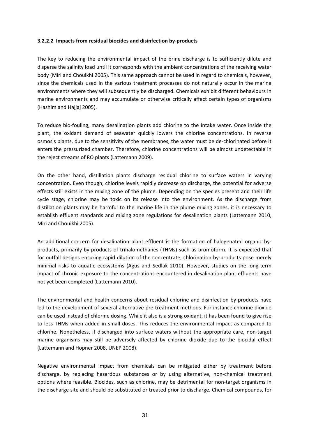#### **3.2.2.2 Impacts from residual biocides and disinfection by‐products**

The key to reducing the environmental impact of the brine discharge is to sufficiently dilute and disperse the salinity load until it corresponds with the ambient concentrations of the receiving water body (Miri and Chouikhi 2005). This same approach cannot be used in regard to chemicals, however, since the chemicals used in the various treatment processes do not naturally occur in the marine environments where they will subsequently be discharged. Chemicals exhibit different behaviours in marine environments and may accumulate or otherwise critically affect certain types of organisms (Hashim and Hajjaj 2005).

To reduce bio‐fouling, many desalination plants add chlorine to the intake water. Once inside the plant, the oxidant demand of seawater quickly lowers the chlorine concentrations. In reverse osmosis plants, due to the sensitivity of the membranes, the water must be de‐chlorinated before it enters the pressurized chamber. Therefore, chlorine concentrations will be almost undetectable in the reject streams of RO plants (Lattemann 2009).

On the other hand, distillation plants discharge residual chlorine to surface waters in varying concentration. Even though, chlorine levels rapidly decrease on discharge, the potential for adverse effects still exists in the mixing zone of the plume. Depending on the species present and their life cycle stage, chlorine may be toxic on its release into the environment. As the discharge from distillation plants may be harmful to the marine life in the plume mixing zones, it is necessary to establish effluent standards and mixing zone regulations for desalination plants (Lattemann 2010, Miri and Chouikhi 2005).

An additional concern for desalination plant effluent is the formation of halogenated organic by‐ products, primarily by‐products of trihalomethanes (THMs) such as bromoform. It is expected that for outfall designs ensuring rapid dilution of the concentrate, chlorination by-products pose merely minimal risks to aquatic ecosystems (Agus and Sedlak 2010). However, studies on the long‐term impact of chronic exposure to the concentrations encountered in desalination plant effluents have not yet been completed (Lattemann 2010).

The environmental and health concerns about residual chlorine and disinfection by‐products have led to the development of several alternative pre-treatment methods. For instance chlorine dioxide can be used instead of chlorine dosing. While it also is a strong oxidant, it has been found to give rise to less THMs when added in small doses. This reduces the environmental impact as compared to chlorine. Nonetheless, if discharged into surface waters without the appropriate care, non-target marine organisms may still be adversely affected by chlorine dioxide due to the biocidal effect (Lattemann and Höpner 2008, UNEP 2008).

Negative environmental impact from chemicals can be mitigated either by treatment before discharge, by replacing hazardous substances or by using alternative, non‐chemical treatment options where feasible. Biocides, such as chlorine, may be detrimental for non‐target organisms in the discharge site and should be substituted or treated prior to discharge. Chemical compounds, for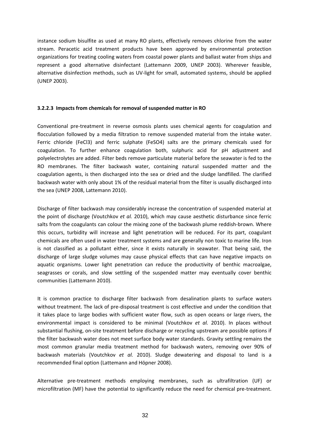instance sodium bisulfite as used at many RO plants, effectively removes chlorine from the water stream. Peracetic acid treatment products have been approved by environmental protection organizations for treating cooling waters from coastal power plants and ballast water from ships and represent a good alternative disinfectant (Lattemann 2009, UNEP 2003). Wherever feasible, alternative disinfection methods, such as UV‐light for small, automated systems, should be applied (UNEP 2003).

### **3.2.2.3 Impacts from chemicals for removal of suspended matter in RO**

Conventional pre‐treatment in reverse osmosis plants uses chemical agents for coagulation and flocculation followed by a media filtration to remove suspended material from the intake water. Ferric chloride (FeCl3) and ferric sulphate (FeSO4) salts are the primary chemicals used for coagulation. To further enhance coagulation both, sulphuric acid for pH adjustment and polyelectrolytes are added. Filter beds remove particulate material before the seawater is fed to the RO membranes. The filter backwash water, containing natural suspended matter and the coagulation agents, is then discharged into the sea or dried and the sludge landfilled. The clarified backwash water with only about 1% of the residual material from the filter is usually discharged into the sea (UNEP 2008, Lattemann 2010).

Discharge of filter backwash may considerably increase the concentration of suspended material at the point of discharge (Voutchkov *et al.* 2010), which may cause aesthetic disturbance since ferric salts from the coagulants can colour the mixing zone of the backwash plume reddish-brown. Where this occurs, turbidity will increase and light penetration will be reduced. For its part, coagulant chemicals are often used in water treatment systems and are generally non toxic to marine life. Iron is not classified as a pollutant either, since it exists naturally in seawater. That being said, the discharge of large sludge volumes may cause physical effects that can have negative impacts on aquatic organisms. Lower light penetration can reduce the productivity of benthic macroalgae, seagrasses or corals, and slow settling of the suspended matter may eventually cover benthic communities (Lattemann 2010).

It is common practice to discharge filter backwash from desalination plants to surface waters without treatment. The lack of pre-disposal treatment is cost effective and under the condition that it takes place to large bodies with sufficient water flow, such as open oceans or large rivers, the environmental impact is considered to be minimal (Voutchkov *et al.* 2010). In places without substantial flushing, on-site treatment before discharge or recycling upstream are possible options if the filter backwash water does not meet surface body water standards. Gravity settling remains the most common granular media treatment method for backwash waters, removing over 90% of backwash materials (Voutchkov *et al.* 2010). Sludge dewatering and disposal to land is a recommended final option (Lattemann and Höpner 2008).

Alternative pre‐treatment methods employing membranes, such as ultrafiltration (UF) or microfiltration (MF) have the potential to significantly reduce the need for chemical pre‐treatment.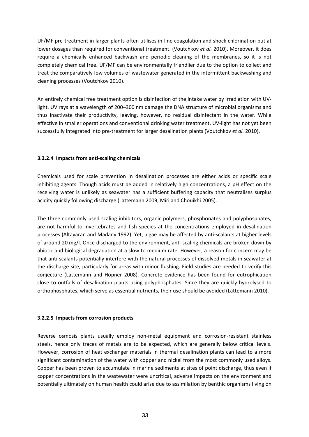UF/MF pre‐treatment in larger plants often utilises in‐line coagulation and shock chlorination but at lower dosages than required for conventional treatment. (Voutchkov *et al.* 2010). Moreover, it does require a chemically enhanced backwash and periodic cleaning of the membranes, so it is not completely chemical free**.** UF/MF can be environmentally friendlier due to the option to collect and treat the comparatively low volumes of wastewater generated in the intermittent backwashing and cleaning processes (Voutchkov 2010).

An entirely chemical free treatment option is disinfection of the intake water by irradiation with UV‐ light. UV rays at a wavelength of 200–300 nm damage the DNA structure of microbial organisms and thus inactivate their productivity, leaving, however, no residual disinfectant in the water. While effective in smaller operations and conventional drinking water treatment, UV-light has not yet been successfully integrated into pre‐treatment for larger desalination plants (Voutchkov *et al.* 2010).

## **3.2.2.4 Impacts from anti‐scaling chemicals**

Chemicals used for scale prevention in desalination processes are either acids or specific scale inhibiting agents. Though acids must be added in relatively high concentrations, a pH effect on the receiving water is unlikely as seawater has a sufficient buffering capacity that neutralises surplus acidity quickly following discharge (Lattemann 2009, Miri and Chouikhi 2005).

The three commonly used scaling inhibitors, organic polymers, phosphonates and polyphosphates, are not harmful to invertebrates and fish species at the concentrations employed in desalination processes (Altayaran and Madany 1992). Yet, algae may be affected by anti‐scalants at higher levels of around 20 mg/l. Once discharged to the environment, anti‐scaling chemicals are broken down by abiotic and biological degradation at a slow to medium rate. However, a reason for concern may be that anti‐scalants potentially interfere with the natural processes of dissolved metals in seawater at the discharge site, particularly for areas with minor flushing. Field studies are needed to verify this conjecture (Lattemann and Höpner 2008). Concrete evidence has been found for eutrophication close to outfalls of desalination plants using polyphosphates. Since they are quickly hydrolysed to orthophosphates, which serve as essential nutrients, their use should be avoided (Lattemann 2010).

#### **3.2.2.5 Impacts from corrosion products**

Reverse osmosis plants usually employ non-metal equipment and corrosion-resistant stainless steels, hence only traces of metals are to be expected, which are generally below critical levels. However, corrosion of heat exchanger materials in thermal desalination plants can lead to a more significant contamination of the water with copper and nickel from the most commonly used alloys. Copper has been proven to accumulate in marine sediments at sites of point discharge, thus even if copper concentrations in the wastewater were uncritical, adverse impacts on the environment and potentially ultimately on human health could arise due to assimilation by benthic organisms living on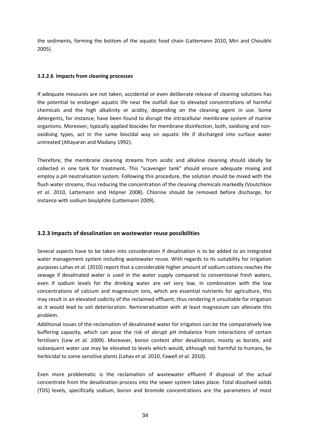the sediments, forming the bottom of the aquatic food chain (Lattemann 2010, Miri and Chouikhi 2005).

## **3.2.2.6 Impacts from cleaning processes**

If adequate measures are not taken, accidental or even deliberate release of cleaning solutions has the potential to endanger aquatic life near the outfall due to elevated concentrations of harmful chemicals and the high alkalinity or acidity, depending on the cleaning agent in use. Some detergents, for instance, have been found to disrupt the intracellular membrane system of marine organisms. Moreover, typically applied biocides for membrane disinfection, both, oxidising and non‐ oxidising types, act in the same biocidal way on aquatic life if discharged into surface water untreated (Altayaran and Madany 1992).

Therefore, the membrane cleaning streams from acidic and alkaline cleaning should ideally be collected in one tank for treatment**.** This "scavenger tank" should ensure adequate mixing and employ a pH neutralisation system. Following this procedure, the solution should be mixed with the flush water streams, thus reducing the concentration of the cleaning chemicals markedly (Voutchkov *et al.* 2010, Lattemann and Höpner 2008). Chlorine should be removed before discharge, for instance with sodium bisulphite (Lattemann 2009).

## **3.2.3 Impacts of desalination on wastewater reuse possibilities**

Several aspects have to be taken into consideration if desalination is to be added to an integrated water management system including wastewater reuse. With regards to its suitability for irrigation purposes Lahav *et al.* (2010) report that a considerable higher amount of sodium cations reaches the sewage if desalinated water is used in the water supply compared to conventional fresh waters, even if sodium levels for the drinking water are set very low. In combination with the low concentrations of calcium and magnesium ions, which are essential nutrients for agriculture, this may result in an elevated sodicity of the reclaimed effluent, thus rendering it unsuitable for irrigation as it would lead to soil deterioration. Remineralisation with at least magnesium can alleviate this problem.

Additional issues of the reclamation of desalinated water for irrigation can be the comparatively low buffering capacity, which can pose the risk of abrupt pH imbalance from interactions of certain fertilisers (Lew *et al.* 2009). Moreover, boron content after desalination, mostly as borate, and subsequent water use may be elevated to levels which would, although not harmful to humans, be herbicidal to some sensitive plants (Lahav *et al.* 2010, Fawell *et al.* 2010).

Even more problematic is the reclamation of wastewater effluent if disposal of the actual concentrate from the desalination process into the sewer system takes place. Total dissolved solids (TDS) levels, specifically sodium, boron and bromide concentrations are the parameters of most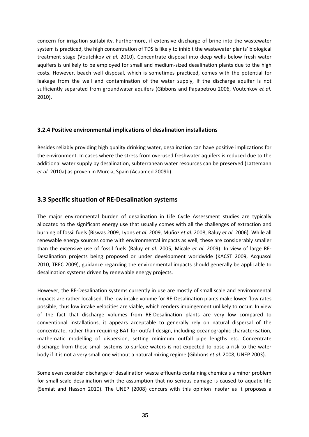<span id="page-34-0"></span>concern for irrigation suitability. Furthermore, if extensive discharge of brine into the wastewater system is practiced, the high concentration of TDS is likely to inhibit the wastewater plants' biological treatment stage (Voutchkov *et al.* 2010). Concentrate disposal into deep wells below fresh water aquifers is unlikely to be employed for small and medium‐sized desalination plants due to the high costs. However, beach well disposal, which is sometimes practiced, comes with the potential for leakage from the well and contamination of the water supply, if the discharge aquifer is not sufficiently separated from groundwater aquifers (Gibbons and Papapetrou 2006, Voutchkov *et al.* 2010).

#### **3.2.4 Positive environmental implications of desalination installations**

Besides reliably providing high quality drinking water, desalination can have positive implications for the environment. In cases where the stress from overused freshwater aquifers is reduced due to the additional water supply by desalination, subterranean water resources can be preserved (Lattemann *et al.* 2010a) as proven in Murcia, Spain (Acuamed 2009b).

## **3.3 Specific situation of RE‐Desalination systems**

The major environmental burden of desalination in Life Cycle Assessment studies are typically allocated to the significant energy use that usually comes with all the challenges of extraction and burning of fossil fuels (Biswas 2009, Lyons *et al.* 2009, Muñoz *et al.* 2008, Raluy *et al.* 2006). While all renewable energy sources come with environmental impacts as well, these are considerably smaller than the extensive use of fossil fuels (Raluy *et al.* 2005, Micale *et al.* 2009). In view of large RE‐ Desalination projects being proposed or under development worldwide (KACST 2009, Acquasol 2010, TREC 2009), guidance regarding the environmental impacts should generally be applicable to desalination systems driven by renewable energy projects.

However, the RE‐Desalination systems currently in use are mostly of small scale and environmental impacts are rather localised. The low intake volume for RE‐Desalination plants make lower flow rates possible, thus low intake velocities are viable, which renders impingement unlikely to occur. In view of the fact that discharge volumes from RE‐Desalination plants are very low compared to conventional installations, it appears acceptable to generally rely on natural dispersal of the concentrate, rather than requiring BAT for outfall design, including oceanographic characterisation, mathematic modelling of dispersion, setting minimum outfall pipe lengths etc. Concentrate discharge from these small systems to surface waters is not expected to pose a risk to the water body if it is not a very small one without a natural mixing regime (Gibbons *et al.* 2008, UNEP 2003).

Some even consider discharge of desalination waste effluents containing chemicals a minor problem for small-scale desalination with the assumption that no serious damage is caused to aquatic life (Semiat and Hasson 2010). The UNEP (2008) concurs with this opinion insofar as it proposes a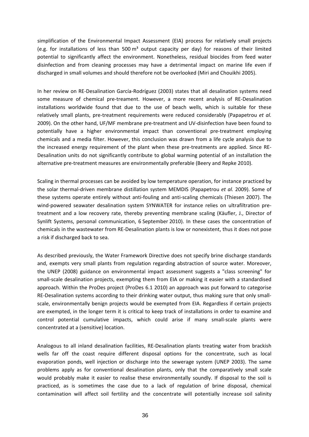simplification of the Environmental Impact Assessment (EIA) process for relatively small projects (e.g. for installations of less than 500  $m<sup>3</sup>$  output capacity per day) for reasons of their limited potential to significantly affect the environment. Nonetheless, residual biocides from feed water disinfection and from cleaning processes may have a detrimental impact on marine life even if discharged in small volumes and should therefore not be overlooked (Miri and Chouikhi 2005).

In her review on RE‐Desalination García‐Rodríguez (2003) states that all desalination systems need some measure of chemical pre-treament. However, a more recent analysis of RE-Desalination installations worldwide found that due to the use of beach wells, which is suitable for these relatively small plants, pre‐treatment requirements were reduced considerably (Papapetrou *et al.* 2009). On the other hand, UF/MF membrane pre‐treatment and UV‐disinfection have been found to potentially have a higher environmental impact than conventional pre-treatment employing chemicals and a media filter. However, this conclusion was drawn from a life cycle analysis due to the increased energy requirement of the plant when these pre-treatments are applied. Since RE-Desalination units do not significantly contribute to global warming potential of an installation the alternative pre‐treatment measures are environmentally preferable (Beery and Repke 2010).

Scaling in thermal processes can be avoided by low temperature operation, for instance practiced by the solar thermal‐driven membrane distillation system MEMDIS (Papapetrou *et al.* 2009). Some of these systems operate entirely without anti‐fouling and anti‐scaling chemicals (Thiesen 2007). The wind-powered seawater desalination system SYNWATER for instance relies on ultrafiltration pretreatment and a low recovery rate, thereby preventing membrane scaling (Käufler, J., Director of Synlift Systems, personal communication, 6 September 2010). In these cases the concentration of chemicals in the wastewater from RE‐Desalination plants is low or nonexistent, thus it does not pose a risk if discharged back to sea.

As described previously, the Water Framework Directive does not specify brine discharge standards and, exempts very small plants from regulation regarding abstraction of source water. Moreover, the UNEP (2008) guidance on environmental impact assessment suggests a "class screening" for small-scale desalination projects, exempting them from EIA or making it easier with a standardised approach. Within the ProDes project (ProDes 6.1 2010) an approach was put forward to categorise RE-Desalination systems according to their drinking water output, thus making sure that only smallscale, environmentally benign projects would be exempted from EIA. Regardless if certain projects are exempted, in the longer term it is critical to keep track of installations in order to examine and control potential cumulative impacts, which could arise if many small-scale plants were concentrated at a (sensitive) location.

Analogous to all inland desalination facilities, RE‐Desalination plants treating water from brackish wells far off the coast require different disposal options for the concentrate, such as local evaporation ponds, well injection or discharge into the sewerage system (UNEP 2003). The same problems apply as for conventional desalination plants, only that the comparatively small scale would probably make it easier to realise these environmentally soundly. If disposal to the soil is practiced, as is sometimes the case due to a lack of regulation of brine disposal, chemical contamination will affect soil fertility and the concentrate will potentially increase soil salinity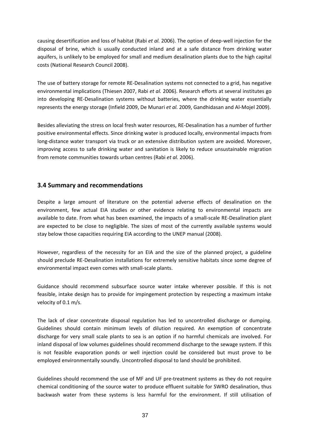<span id="page-36-0"></span>causing desertification and loss of habitat (Rabi *et al.* 2006). The option of deep‐well injection for the disposal of brine, which is usually conducted inland and at a safe distance from drinking water aquifers, is unlikely to be employed for small and medium desalination plants due to the high capital costs (National Research Council 2008).

The use of battery storage for remote RE-Desalination systems not connected to a grid, has negative environmental implications (Thiesen 2007, Rabi *et al.* 2006). Research efforts at several institutes go into developing RE‐Desalination systems without batteries, where the drinking water essentially represents the energy storage (Infield 2009, De Munari *et al.* 2009, Gandhidasan and Al‐Mojel 2009).

Besides alleviating the stress on local fresh water resources, RE‐Desalination has a number of further positive environmental effects. Since drinking water is produced locally, environmental impacts from long-distance water transport via truck or an extensive distribution system are avoided. Moreover, improving access to safe drinking water and sanitation is likely to reduce unsustainable migration from remote communities towards urban centres (Rabi *et al.* 2006).

# **3.4 Summary and recommendations**

Despite a large amount of literature on the potential adverse effects of desalination on the environment, few actual EIA studies or other evidence relating to environmental impacts are available to date. From what has been examined, the impacts of a small‐scale RE‐Desalination plant are expected to be close to negligible. The sizes of most of the currently available systems would stay below those capacities requiring EIA according to the UNEP manual (2008).

However, regardless of the necessity for an EIA and the size of the planned project, a guideline should preclude RE‐Desalination installations for extremely sensitive habitats since some degree of environmental impact even comes with small‐scale plants.

Guidance should recommend subsurface source water intake wherever possible. If this is not feasible, intake design has to provide for impingement protection by respecting a maximum intake velocity of 0.1 m/s.

The lack of clear concentrate disposal regulation has led to uncontrolled discharge or dumping. Guidelines should contain minimum levels of dilution required. An exemption of concentrate discharge for very small scale plants to sea is an option if no harmful chemicals are involved. For inland disposal of low volumes guidelines should recommend discharge to the sewage system. If this is not feasible evaporation ponds or well injection could be considered but must prove to be employed environmentally soundly. Uncontrolled disposal to land should be prohibited.

Guidelines should recommend the use of MF and UF pre-treatment systems as they do not require chemical conditioning of the source water to produce effluent suitable for SWRO desalination, thus backwash water from these systems is less harmful for the environment. If still utilisation of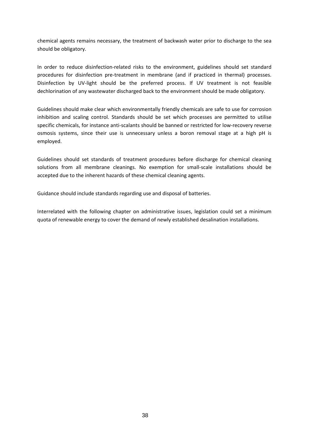chemical agents remains necessary, the treatment of backwash water prior to discharge to the sea should be obligatory.

In order to reduce disinfection-related risks to the environment, guidelines should set standard procedures for disinfection pre‐treatment in membrane (and if practiced in thermal) processes. Disinfection by UV-light should be the preferred process. If UV treatment is not feasible dechlorination of any wastewater discharged back to the environment should be made obligatory.

Guidelines should make clear which environmentally friendly chemicals are safe to use for corrosion inhibition and scaling control. Standards should be set which processes are permitted to utilise specific chemicals, for instance anti-scalants should be banned or restricted for low-recovery reverse osmosis systems, since their use is unnecessary unless a boron removal stage at a high pH is employed.

Guidelines should set standards of treatment procedures before discharge for chemical cleaning solutions from all membrane cleanings. No exemption for small-scale installations should be accepted due to the inherent hazards of these chemical cleaning agents.

Guidance should include standards regarding use and disposal of batteries.

Interrelated with the following chapter on administrative issues, legislation could set a minimum quota of renewable energy to cover the demand of newly established desalination installations.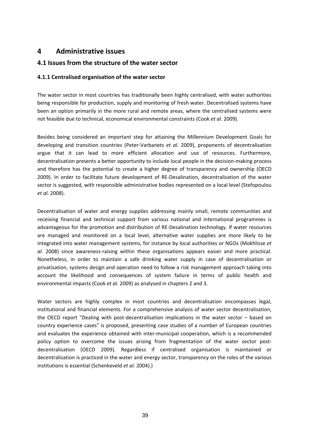# <span id="page-38-0"></span>**4 Administrative issues**

## **4.1 Issues from the structure of the water sector**

## **4.1.1 Centralised organisation of the water sector**

The water sector in most countries has traditionally been highly centralised, with water authorities being responsible for production, supply and monitoring of fresh water. Decentralised systems have been an option primarily in the more rural and remote areas, where the centralised systems were not feasible due to technical, economical environmental constraints (Cook *et al.* 2009).

Besides being considered an important step for attaining the Millennium Development Goals for developing and transition countries (Peter‐Varbanets *et al.* 2009), proponents of decentralisation argue that it can lead to more efficient allocation and use of resources. Furthermore, decentralisation presents a better opportunity to include local people in the decision-making process and therefore has the potential to create a higher degree of transparency and ownership (OECD 2009). In order to facilitate future development of RE‐Desalination, decentralisation of the water sector is suggested, with responsible administrative bodies represented on a local level (Stefopoulou *et al.* 2008).

Decentralisation of water and energy supplies addressing mainly small, remote communities and receiving financial and technical support from various national and international programmes is advantageous for the promotion and distribution of RE‐Desalination technology. If water resources are managed and monitored on a local level, alternative water supplies are more likely to be integrated into water management systems, for instance by local authorities or NGOs (Mokhlisse *et al.* 2008) since awareness‐raising within these organisations appears easier and more practical. Nonetheless, in order to maintain a safe drinking water supply in case of decentralisation or privatisation, systems design and operation need to follow a risk management approach taking into account the likelihood and consequences of system failure in terms of public health and environmental impacts (Cook *et al.* 2009) as analysed in chapters 2 and 3.

Water sectors are highly complex in most countries and decentralisation encompasses legal, institutional and financial elements. For a comprehensive analysis of water sector decentralisation, the OECD report "Dealing with post-decentralisation implications in the water sector – based on country experience cases" is proposed, presenting case studies of a number of European countries and evaluates the experience obtained with inter-municipal cooperation, which is a recommended policy option to overcome the issues arising from fragmentation of the water sector postdecentralisation (OECD 2009). Regardless if centralised organisation is maintained or decentralisation is practiced in the water and energy sector, transparency on the roles of the various institutions is essential (Schenkeveld *et al.* 2004).)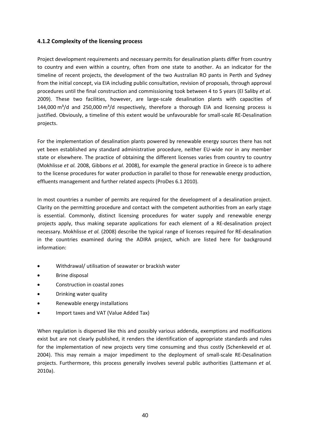## **4.1.2 Complexity of the licensing process**

Project development requirements and necessary permits for desalination plants differ from country to country and even within a country, often from one state to another. As an indicator for the timeline of recent projects, the development of the two Australian RO pants in Perth and Sydney from the initial concept, via EIA including public consultation, revision of proposals, through approval procedures until the final construction and commissioning took between 4 to 5 years (El Saliby *et al.* 2009). These two facilities, however, are large‐scale desalination plants with capacities of 144,000 m $3/$ d and 250,000 m $3/$ d respectively, therefore a thorough EIA and licensing process is justified. Obviously, a timeline of this extent would be unfavourable for small-scale RE-Desalination projects.

For the implementation of desalination plants powered by renewable energy sources there has not yet been established any standard administrative procedure, neither EU‐wide nor in any member state or elsewhere. The practice of obtaining the different licenses varies from country to country (Mokhlisse *et al.* 2008, Gibbons *et al.* 2008), for example the general practice in Greece is to adhere to the license procedures for water production in parallel to those for renewable energy production, effluents management and further related aspects (ProDes 6.1 2010).

In most countries a number of permits are required for the development of a desalination project. Clarity on the permitting procedure and contact with the competent authorities from an early stage is essential. Commonly, distinct licensing procedures for water supply and renewable energy projects apply, thus making separate applications for each element of a RE‐desalination project necessary. Mokhlisse *et al.* (2008) describe the typical range of licenses required for RE‐desalination in the countries examined during the ADIRA project, which are listed here for background information:

- Withdrawal/ utilisation of seawater or brackish water
- Brine disposal
- Construction in coastal zones
- Drinking water quality
- Renewable energy installations
- Import taxes and VAT (Value Added Tax)

When regulation is dispersed like this and possibly various addenda, exemptions and modifications exist but are not clearly published, it renders the identification of appropriate standards and rules for the implementation of new projects very time consuming and thus costly (Schenkeveld *et al.* 2004). This may remain a major impediment to the deployment of small‐scale RE‐Desalination projects. Furthermore, this process generally involves several public authorities (Lattemann *et al.* 2010a).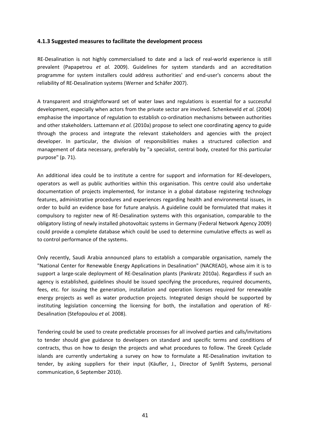### **4.1.3 Suggested measures to facilitate the development process**

RE-Desalination is not highly commercialised to date and a lack of real-world experience is still prevalent (Papapetrou *et al.* 2009). Guidelines for system standards and an accreditation programme for system installers could address authorities' and end‐user's concerns about the reliability of RE‐Desalination systems (Werner and Schäfer 2007).

A transparent and straightforward set of water laws and regulations is essential for a successful development, especially when actors from the private sector are involved. Schenkeveld *et al.* (2004) emphasise the importance of regulation to establish co-ordination mechanisms between authorities and other stakeholders. Lattemann *et al.* (2010a) propose to select one coordinating agency to guide through the process and integrate the relevant stakeholders and agencies with the project developer. In particular, the division of responsibilities makes a structured collection and management of data necessary, preferably by "a specialist, central body, created for this particular purpose" (p. 71).

An additional idea could be to institute a centre for support and information for RE‐developers, operators as well as public authorities within this organisation. This centre could also undertake documentation of projects implemented, for instance in a global database registering technology features, administrative procedures and experiences regarding health and environmental issues, in order to build an evidence base for future analysis. A guideline could be formulated that makes it compulsory to register new of RE‐Desalination systems with this organisation, comparable to the obligatory listing of newly installed photovoltaic systems in Germany (Federal Network Agency 2009) could provide a complete database which could be used to determine cumulative effects as well as to control performance of the systems.

Only recently, Saudi Arabia announced plans to establish a comparable organisation, namely the "National Center for Renewable Energy Applications in Desalination" (NACREAD), whose aim it is to support a large‐scale deployment of RE‐Desalination plants (Pankratz 2010a). Regardless if such an agency is established, guidelines should be issued specifying the procedures, required documents, fees, etc. for issuing the generation, installation and operation licenses required for renewable energy projects as well as water production projects. Integrated design should be supported by instituting legislation concerning the licensing for both, the installation and operation of RE‐ Desalination (Stefopoulou *et al.* 2008).

Tendering could be used to create predictable processes for all involved parties and calls/invitations to tender should give guidance to developers on standard and specific terms and conditions of contracts, thus on how to design the projects and what procedures to follow. The Greek Cyclade islands are currently undertaking a survey on how to formulate a RE‐Desalination invitation to tender, by asking suppliers for their input (Käufler, J., Director of Synlift Systems, personal communication, 6 September 2010).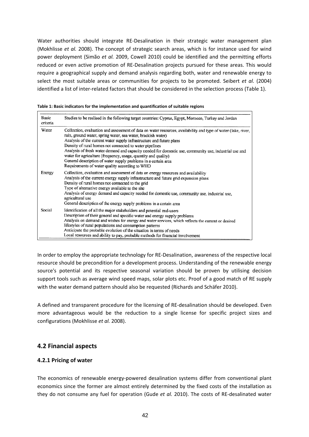<span id="page-41-0"></span>Water authorities should integrate RE-Desalination in their strategic water management plan (Mokhlisse *et al.* 2008). The concept of strategic search areas, which is for instance used for wind power deployment (Simão *et al.* 2009, Cowell 2010) could be identified and the permitting efforts reduced or even active promotion of RE‐Desalination projects pursued for these areas. This would require a geographical supply and demand analysis regarding both, water and renewable energy to select the most suitable areas or communities for projects to be promoted. Seibert *et al.* (2004) identified a list of inter‐related factors that should be considered in the selection process (Table 1).

| Basic<br>criteria | Studies to be realised in the following target countries: Cyprus, Egypt, Morocco, Turkey and Jordan                                                                                                                                                                                                                                                                                                                                                                                                                                                                                                               |
|-------------------|-------------------------------------------------------------------------------------------------------------------------------------------------------------------------------------------------------------------------------------------------------------------------------------------------------------------------------------------------------------------------------------------------------------------------------------------------------------------------------------------------------------------------------------------------------------------------------------------------------------------|
| Water             | Collection, evaluation and assessment of data on water resources, availability and type of water (lake, river,<br>rain, ground water, spring water, sea water, brackish water)<br>Analysis of the current water supply infrastructure and future plans<br>Density of rural homes not connected to water pipelines<br>Analysis of fresh water demand and capacity needed for domestic use, community use, industrial use and<br>water for agriculture (frequency, usage, quantity and quality)<br>General description of water supply problems in a certain area<br>Requirements of water quality according to WHO |
| Energy            | Collection, evaluation and assessment of data on energy resources and availability<br>Analysis of the current energy supply infrastructure and future grid expansion plans<br>Density of rural homes not connected to the grid<br>Type of alternative energy available to the site<br>Analysis of energy demand and capacity needed for domestic use, community use, industrial use,<br>agricultural use<br>General description of the energy supply problems in a certain area                                                                                                                                   |
| Social            | Identification of all the major stakeholders and potential end-users<br>Description of their general and specific water and energy supply problems<br>Analysis on demand and wishes for energy and water services, which reflects the current or desired<br>lifestyles of rural populations and consumption patterns<br>Anticipate the probable evolution of the situation in terms of needs<br>Local resources and ability to pay, probable methods for financial involvement                                                                                                                                    |

In order to employ the appropriate technology for RE‐Desalination, awareness of the respective local resource should be precondition for a development process. Understanding of the renewable energy source's potential and its respective seasonal variation should be proven by utilising decision support tools such as average wind speed maps, solar plots etc. Proof of a good match of RE supply with the water demand pattern should also be requested (Richards and Schäfer 2010).

A defined and transparent procedure for the licensing of RE‐desalination should be developed. Even more advantageous would be the reduction to a single license for specific project sizes and configurations (Mokhlisse *et al.* 2008).

## **4.2 Financial aspects**

## **4.2.1 Pricing of water**

The economics of renewable energy-powered desalination systems differ from conventional plant economics since the former are almost entirely determined by the fixed costs of the installation as they do not consume any fuel for operation (Gude *et al.* 2010). The costs of RE‐desalinated water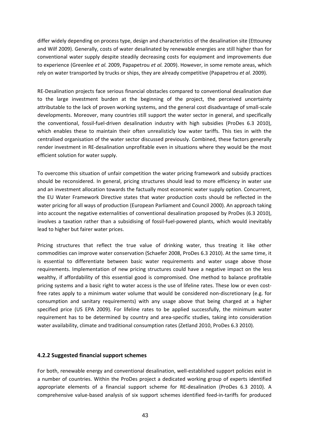differ widely depending on process type, design and characteristics of the desalination site (Ettouney and Wilf 2009). Generally, costs of water desalinated by renewable energies are still higher than for conventional water supply despite steadily decreasing costs for equipment and improvements due to experience (Greenlee *et al.* 2009, Papapetrou *et al.* 2009). However, in some remote areas, which rely on water transported by trucks or ships, they are already competitive (Papapetrou *et al.* 2009).

RE‐Desalination projects face serious financial obstacles compared to conventional desalination due to the large investment burden at the beginning of the project, the perceived uncertainty attributable to the lack of proven working systems, and the general cost disadvantage of small‐scale developments. Moreover, many countries still support the water sector in general, and specifically the conventional, fossil‐fuel‐driven desalination industry with high subsidies (ProDes 6.3 2010), which enables these to maintain their often unrealisticly low water tariffs. This ties in with the centralised organisation of the water sector discussed previously. Combined, these factors generally render investment in RE‐desalination unprofitable even in situations where they would be the most efficient solution for water supply.

To overcome this situation of unfair competition the water pricing framework and subsidy practices should be reconsidered. In general, pricing structures should lead to more efficiency in water use and an investment allocation towards the factually most economic water supply option. Concurrent, the EU Water Framework Directive states that water production costs should be reflected in the water pricing for all ways of production (European Parliament and Council 2000). An approach taking into account the negative externalities of conventional desalination proposed by ProDes (6.3 2010), involves a taxation rather than a subsidising of fossil-fuel-powered plants, which would inevitably lead to higher but fairer water prices.

Pricing structures that reflect the true value of drinking water, thus treating it like other commodities can improve water conservation (Schaefer 2008, ProDes 6.3 2010). At the same time, it is essential to differentiate between basic water requirements and water usage above those requirements. Implementation of new pricing structures could have a negative impact on the less wealthy, if affordability of this essential good is compromised. One method to balance profitable pricing systems and a basic right to water access is the use of lifeline rates. These low or even costfree rates apply to a minimum water volume that would be considered non-discretionary (e.g. for consumption and sanitary requirements) with any usage above that being charged at a higher specified price (US EPA 2009). For lifeline rates to be applied successfully, the minimum water requirement has to be determined by country and area‐specific studies, taking into consideration water availability, climate and traditional consumption rates (Zetland 2010, ProDes 6.3 2010).

#### **4.2.2 Suggested financial support schemes**

For both, renewable energy and conventional desalination, well-established support policies exist in a number of countries. Within the ProDes project a dedicated working group of experts identified appropriate elements of a financial support scheme for RE‐desalination (ProDes 6.3 2010). A comprehensive value‐based analysis of six support schemes identified feed‐in‐tariffs for produced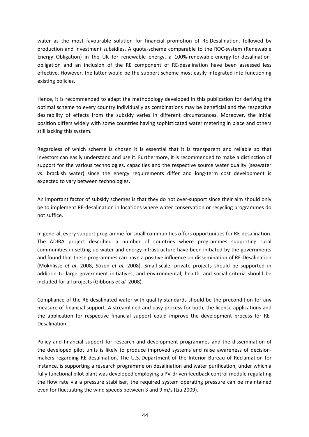water as the most favourable solution for financial promotion of RE-Desalination, followed by production and investment subsidies. A quota‐scheme comparable to the ROC‐system (Renewable Energy Obligation) in the UK for renewable energy, a 100%-renewable-energy-for-desalinationobligation and an inclusion of the RE component of RE‐desalination have been assessed less effective. However, the latter would be the support scheme most easily integrated into functioning existing policies.

Hence, it is recommended to adapt the methodology developed in this publication for deriving the optimal scheme to every country individually as combinations may be beneficial and the respective desirability of effects from the subsidy varies in different circumstances. Moreover, the initial position differs widely with some countries having sophisticated water metering in place and others still lacking this system.

Regardless of which scheme is chosen it is essential that it is transparent and reliable so that investors can easily understand and use it. Furthermore, it is recommended to make a distinction of support for the various technologies, capacities and the respective source water quality (seawater vs. brackish water) since the energy requirements differ and long‐term cost development is expected to vary between technologies.

An important factor of subsidy schemes is that they do not over-support since their aim should only be to implement RE‐desalination in locations where water conservation or recycling programmes do not suffice.

In general, every support programme for small communities offers opportunities for RE‐desalination. The ADIRA project described a number of countries where programmes supporting rural communities in setting up water and energy infrastructure have been initiated by the governments and found that these programmes can have a positive influence on dissemination of RE‐Desalination (Mokhlisse *et al.* 2008, Sözen *et al.* 2008). Small‐scale, private projects should be supported in addition to large government initiatives, and environmental, health, and social criteria should be included for all projects (Gibbons *et al.* 2008).

Compliance of the RE‐desalinated water with quality standards should be the precondition for any measure of financial support. A streamlined and easy process for both, the license applications and the application for respective financial support could improve the development process for RE‐ Desalination.

Policy and financial support for research and development programmes and the dissemination of the developed pilot units is likely to produce improved systems and raise awareness of decision‐ makers regarding RE‐desalination. The U.S. Department of the Interior Bureau of Reclamation for instance, is supporting a research programme on desalination and water purification, under which a fully functional pilot plant was developed employing a PV-driven feedback control module regulating the flow rate via a pressure stabiliser, the required system operating pressure can be maintained even for fluctuating the wind speeds between 3 and 9 m/s (Liu 2009).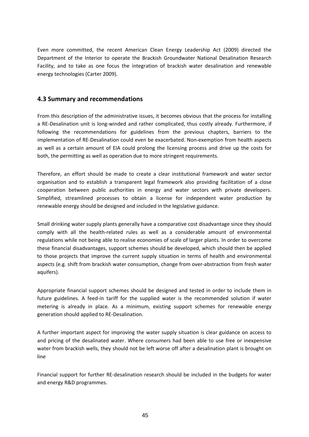<span id="page-44-0"></span>Even more committed, the recent American Clean Energy Leadership Act (2009) directed the Department of the Interior to operate the Brackish Groundwater National Desalination Research Facility, and to take as one focus the integration of brackish water desalination and renewable energy technologies (Carter 2009).

## **4.3 Summary and recommendations**

From this description of the administrative issues, it becomes obvious that the process for installing a RE‐Desalination unit is long‐winded and rather complicated, thus costly already. Furthermore, if following the recommendations for guidelines from the previous chapters, barriers to the implementation of RE‐Desalination could even be exacerbated. Non‐exemption from health aspects as well as a certain amount of EIA could prolong the licensing process and drive up the costs for both, the permitting as well as operation due to more stringent requirements.

Therefore, an effort should be made to create a clear institutional framework and water sector organisation and to establish a transparent legal framework also providing facilitation of a close cooperation between public authorities in energy and water sectors with private developers. Simplified, streamlined processes to obtain a license for independent water production by renewable energy should be designed and included in the legislative guidance.

Small drinking water supply plants generally have a comparative cost disadvantage since they should comply with all the health-related rules as well as a considerable amount of environmental regulations while not being able to realise economies of scale of larger plants. In order to overcome these financial disadvantages, support schemes should be developed, which should then be applied to those projects that improve the current supply situation in terms of health and environmental aspects (e.g. shift from brackish water consumption, change from over-abstraction from fresh water aquifers).

Appropriate financial support schemes should be designed and tested in order to include them in future guidelines. A feed-in tariff for the supplied water is the recommended solution if water metering is already in place. As a minimum, existing support schemes for renewable energy generation should applied to RE‐Desalination.

A further important aspect for improving the water supply situation is clear guidance on access to and pricing of the desalinated water. Where consumers had been able to use free or inexpensive water from brackish wells, they should not be left worse off after a desalination plant is brought on line

Financial support for further RE‐desalination research should be included in the budgets for water and energy R&D programmes.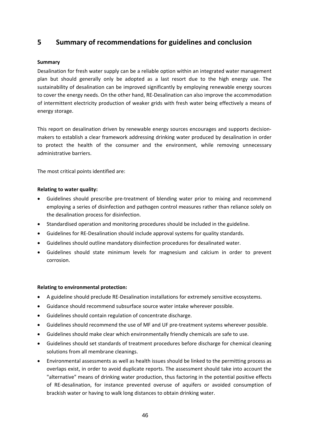# <span id="page-45-0"></span>**5 Summary of recommendations for guidelines and conclusion**

#### **Summary**

Desalination for fresh water supply can be a reliable option within an integrated water management plan but should generally only be adopted as a last resort due to the high energy use. The sustainability of desalination can be improved significantly by employing renewable energy sources to cover the energy needs. On the other hand, RE‐Desalination can also improve the accommodation of intermittent electricity production of weaker grids with fresh water being effectively a means of energy storage.

This report on desalination driven by renewable energy sources encourages and supports decision‐ makers to establish a clear framework addressing drinking water produced by desalination in order to protect the health of the consumer and the environment, while removing unnecessary administrative barriers.

The most critical points identified are:

#### **Relating to water quality:**

- Guidelines should prescribe pre‐treatment of blending water prior to mixing and recommend employing a series of disinfection and pathogen control measures rather than reliance solely on the desalination process for disinfection.
- Standardised operation and monitoring procedures should be included in the guideline.
- Guidelines for RE‐Desalination should include approval systems for quality standards.
- Guidelines should outline mandatory disinfection procedures for desalinated water.
- Guidelines should state minimum levels for magnesium and calcium in order to prevent corrosion.

#### **Relating to environmental protection:**

- A guideline should preclude RE‐Desalination installations for extremely sensitive ecosystems.
- Guidance should recommend subsurface source water intake wherever possible.
- Guidelines should contain regulation of concentrate discharge.
- Guidelines should recommend the use of MF and UF pre-treatment systems wherever possible.
- Guidelines should make clear which environmentally friendly chemicals are safe to use.
- Guidelines should set standards of treatment procedures before discharge for chemical cleaning solutions from all membrane cleanings.
- Environmental assessments as well as health issues should be linked to the permitting process as overlaps exist, in order to avoid duplicate reports. The assessment should take into account the "alternative" means of drinking water production, thus factoring in the potential positive effects of RE‐desalination, for instance prevented overuse of aquifers or avoided consumption of brackish water or having to walk long distances to obtain drinking water.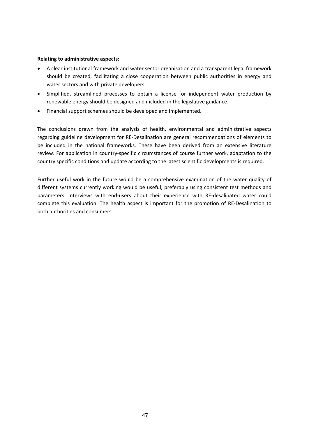#### **Relating to administrative aspects:**

- A clear institutional framework and water sector organisation and a transparent legal framework should be created, facilitating a close cooperation between public authorities in energy and water sectors and with private developers.
- Simplified, streamlined processes to obtain a license for independent water production by renewable energy should be designed and included in the legislative guidance.
- Financial support schemes should be developed and implemented.

The conclusions drawn from the analysis of health, environmental and administrative aspects regarding guideline development for RE‐Desalination are general recommendations of elements to be included in the national frameworks. These have been derived from an extensive literature review. For application in country-specific circumstances of course further work, adaptation to the country specific conditions and update according to the latest scientific developments is required.

Further useful work in the future would be a comprehensive examination of the water quality of different systems currently working would be useful, preferably using consistent test methods and parameters. Interviews with end-users about their experience with RE-desalinated water could complete this evaluation. The health aspect is important for the promotion of RE‐Desalination to both authorities and consumers.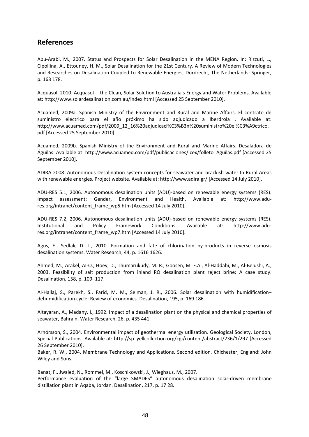# <span id="page-47-0"></span>**References**

Abu‐Arabi, M., 2007. Status and Prospects for Solar Desalination in the MENA Region. In: Rizzuti, L., Cipollina, A., Ettouney, H. M., Solar Desalination for the 21st Century. A Review of Modern Technologies and Researches on Desalination Coupled to Renewable Energies, Dordrecht, The Netherlands: Springer, p. 163 178.

Acquasol, 2010. Acquasol ‐‐ the Clean, Solar Solution to Australia's Energy and Water Problems. Available at: http://www.solardesalination.com.au/index.html [Accessed 25 September 2010].

Acuamed, 2009a. Spanish Ministry of the Environment and Rural and Marine Affairs. El contrato de suministro eléctrico para el año próximo ha sido adjudicado a Iberdrola . Available at: http://www.acuamed.com/pdf/2009\_12\_16%20adjudicaci%C3%B3n%20suministro%20el%C3%A9ctrico. pdf [Accessed 25 September 2010].

Acuamed, 2009b. Spanish Ministry of the Environment and Rural and Marine Affairs. Desaladora de Águilas. Available at: http://www.acuamed.com/pdf/publicaciones/Icex/folleto\_Aguilas.pdf [Accessed 25 September 2010].

ADIRA 2008. Autonomous Desalination system concepts for seawater and brackish water In Rural Areas with renewable energies. Project website. Available at: http://www.adira.gr/ [Accessed 14 July 2010].

ADU‐RES 5.1, 2006. Autonomous desalination units (ADU)‐based on renewable energy systems (RES). Impact assessment: Gender, Environment and Health. Available at: http://www.adu‐ res.org/intranet/content\_frame\_wp5.htm [Accessed 14 July 2010].

ADU‐RES 7.2, 2006. Autonomous desalination units (ADU)‐based on renewable energy systems (RES). Institutional and Policy Framework Conditions. Available at: http://www.adu‐ res.org/intranet/content\_frame\_wp7.htm [Accessed 14 July 2010].

Agus, E., Sedlak, D. L., 2010. Formation and fate of chlorination by-products in reverse osmosis desalination systems. Water Research, 44, p. 1616 1626.

Ahmed, M., Arakel, AI‐O., Hoey, D., Thumarukudy, M. R., Goosen, M. F.A., Al‐Haddabi, M., Al‐Belushi, A., 2003. Feasibility of salt production from inland RO desalination plant reject brine: A case study. Desalination, 158, p. 109–117.

Al-Hallaj, S., Parekh, S., Farid, M. M., Selman, J. R., 2006. Solar desalination with humidificationdehumidification cycle: Review of economics. Desalination, 195, p. 169 186.

Altayaran, A., Madany, I., 1992. Impact of a desalination plant on the physical and chemical properties of seawater, Bahrain. Water Research, 26, p. 435 441.

Arnórsson, S., 2004. Environmental impact of geothermal energy utilization. Geological Society, London, Special Publications. Available at: http://sp.lyellcollection.org/cgi/content/abstract/236/1/297 [Accessed 26 September 2010].

Baker, R. W., 2004. Membrane Technology and Applications. Second edition. Chichester, England: John Wiley and Sons.

Banat, F., Jwaied, N., Rommel, M., Koschikowski, J., Wieghaus, M., 2007. Performance evaluation of the "large SMADES" autonomous desalination solar-driven membrane distillation plant in Aqaba, Jordan. Desalination, 217, p. 17 28.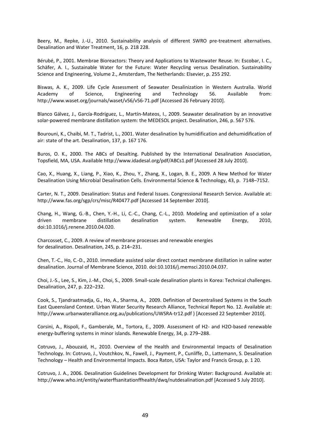Beery, M., Repke, J.-U., 2010. Sustainability analysis of different SWRO pre-treatment alternatives. Desalination and Water Treatment, 16, p. 218 228.

Bérubé, P., 2001. Membrae Bioreactors: Theory and Applications to Wastewater Reuse. In: Escobar, I. C., Schäfer, A. I., Sustainable Water for the Future: Water Recycling versus Desalination. Sustainability Science and Engineering, Volume 2., Amsterdam, The Netherlands: Elsevier, p. 255 292.

Biswas, A. K., 2009. Life Cycle Assessment of Seawater Desalinization in Western Australia. World Academy of Science, Engineering and Technology 56. Available from: http://www.waset.org/journals/waset/v56/v56‐71.pdf [Accessed 26 February 2010].

Blanco Gálvez, J., García‐Rodríguez, L., Martín‐Mateos, I., 2009. Seawater desalination by an innovative solar‐powered membrane distillation system: the MEDESOL project. Desalination, 246, p. 567 576.

Bourouni, K., Chaibi, M. T., Tadrist, L., 2001. Water desalination by humidification and dehumidification of air: state of the art. Desalination, 137, p. 167 176.

Buros, O. K., 2000. The ABCs of Desalting. Published by the International Desalination Association, Topsfield, MA, USA. Available http://www.idadesal.org/pdf/ABCs1.pdf [Accessed 28 July 2010].

Cao, X., Huang, X., Liang, P., Xiao, K., Zhou, Y., Zhang, X., Logan, B. E., 2009. A New Method for Water Desalination Using Microbial Desalination Cells. Environmental Science & Technology, 43, p. 7148–7152.

Carter, N. T., 2009. Desalination: Status and Federal Issues. Congressional Research Service. Available at: http://www.fas.org/sgp/crs/misc/R40477.pdf [Accessed 14 September 2010].

Chang, H., Wang, G.‐B., Chen, Y.‐H., Li, C.‐C., Chang, C.‐L., 2010. Modeling and optimization of a solar driven membrane distillation desalination system. Renewable Energy, 2010, doi:10.1016/j.renene.2010.04.020.

Charcosset, C., 2009. A review of membrane processes and renewable energies for desalination. Desalination, 245, p. 214–231.

Chen, T.‐C., Ho, C.‐D., 2010. Immediate assisted solar direct contact membrane distillation in saline water desalination. Journal of Membrane Science, 2010. doi:10.1016/j.memsci.2010.04.037.

Choi, J.‐S., Lee, S., Kim, J.‐M., Choi, S., 2009. Small‐scale desalination plants in Korea: Technical challenges. Desalination, 247, p. 222–232.

Cook, S., Tjandraatmadja, G., Ho, A., Sharma, A., 2009. Definition of Decentralised Systems in the South East Queensland Context. Urban Water Security Research Alliance, Technical Report No. 12. Available at: http://www.urbanwateralliance.org.au/publications/UWSRA‐tr12.pdf ) [Accessed 22 September 2010].

Corsini, A., Rispoli, F., Gamberale, M., Tortora, E., 2009. Assessment of H2‐ and H2O‐based renewable energy‐buffering systems in minor islands. Renewable Energy, 34, p. 279–288.

Cotruvo, J., Abouzaid, H., 2010. Overview of the Health and Environmental Impacts of Desalination Technology. In: Cotruvo, J., Voutchkov, N., Fawell, J., Payment, P., Cunliffe, D., Lattemann, S. Desalination Technology – Health and Environmental Impacts. Boca Raton, USA: Taylor and Francis Group, p. 1 20.

Cotruvo, J. A., 2006. Desalination Guidelines Development for Drinking Water: Background. Available at: http://www.who.int/entity/waterffsanitationffhealth/dwq/nutdesalination.pdf [Accessed 5 July 2010].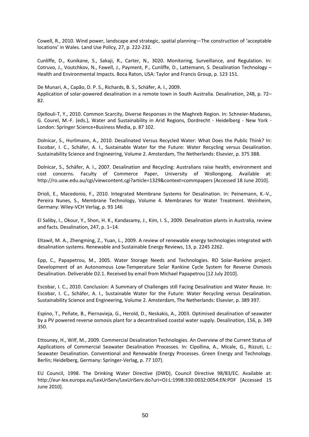Cowell, R., 2010. Wind power, landscape and strategic, spatial planning—The construction of 'acceptable locations' in Wales. Land Use Policy, 27, p. 222‐232.

Cunliffe, D., Kunikane, S., Sakaji, R., Carter, N., 3020. Monitoring, Surveillance, and Regulation. In: Cotruvo, J., Voutchkov, N., Fawell, J., Payment, P., Cunliffe, D., Lattemann, S. Desalination Technology – Health and Environmental Impacts. Boca Raton, USA: Taylor and Francis Group, p. 123 151.

De Munari, A., Capão, D. P. S., Richards, B. S., Schäfer, A. I., 2009. Application of solar‐powered desalination in a remote town in South Australia. Desalination, 248, p. 72– 82.

Djellouli‐T, Y., 2010. Common Scarcity, Diverse Responses in the Maghreb Region. In: Schneier‐Madanes, G. Courel, M.-F. (eds.), Water and Sustainability in Arid Regions, Dordrecht - Heidelberg - New York -London: Springer Science+Business Media, p. 87 102.

Dolnicar, S., Hurlimann, A., 2010. Desalinated Versus Recycled Water: What Does the Public Think? In: Escobar, I. C., Schäfer, A. I., Sustainable Water for the Future: Water Recycling versus Desalination. Sustainability Science and Engineering, Volume 2. Amsterdam, The Netherlands: Elsevier, p. 375 388.

Dolnicar, S., Schäfer, A. I., 2007. Desalination and Recycling: Australians raise health, environment and cost concerns. Faculty of Commerce Paper, University of Wollongong. Available at: http://ro.uow.edu.au/cgi/viewcontent.cgi?article=1329&context=commpapers [Accessed 18 June 2010].

Drioli, E., Macedonio, F., 2010. Integrated Membrane Systems for Desalination. In: Peinemann, K.‐V., Pereira Nunes, S., Membrane Technology, Volume 4. Membranes for Water Treatment. Weinheim, Germany: Wiley‐VCH Verlag, p. 93 146

El Saliby, I., Okour, Y., Shon, H. K., Kandasamy, J., Kim, I. S., 2009. Desalination plants in Australia, review and facts. Desalination, 247, p. 1–14.

Eltawil, M. A., Zhengming, Z., Yuan, L., 2009. A review of renewable energy technologies integrated with desalination systems. Renewable and Sustainable Energy Reviews, 13, p. 2245 2262.

Epp, C., Papapetrou, M., 2005. Water Storage Needs and Technologies. RO Solar‐Rankine project. Development of an Autonomous Low‐Temperature Solar Rankine Cycle System for Reverse Osmosis Desalination. Deliverable D2.1. Received by email from Michael Papapetrou [12 July 2010].

Escobar, I. C., 2010. Conclusion: A Summary of Challenges still Facing Desalination and Water Reuse. In: Escobar, I. C., Schäfer, A. I., Sustainable Water for the Future: Water Recycling versus Desalination. Sustainability Science and Engineering, Volume 2. Amsterdam, The Netherlands: Elsevier, p. 389 397.

Espino, T., Peñate, B., Piernavieja, G., Herold, D., Neskakis, A., 2003. Optimised desalination of seawater by a PV powered reverse osmosis plant for a decentralised coastal water supply. Desalination, 156, p. 349 350.

Ettouney, H., Wilf, M., 2009. Commercial Desalination Technologies. An Overview of the Current Status of Applications of Commercial Seawater Desalination Processes. In: Cipollina, A., Micale, G., Rizzuti, L.: Seawater Desalination. Conventional and Renewable Energy Processes. Green Energy and Technology. Berlin; Heidelberg, Germany: Springer‐Verlag, p. 77 107).

EU Council, 1998. The Drinking Water Directive (DWD), Council Directive 98/83/EC. Available at: http://eur‐lex.europa.eu/LexUriServ/LexUriServ.do?uri=OJ:L:1998:330:0032:0054:EN:PDF [Accessed 15 June 2010].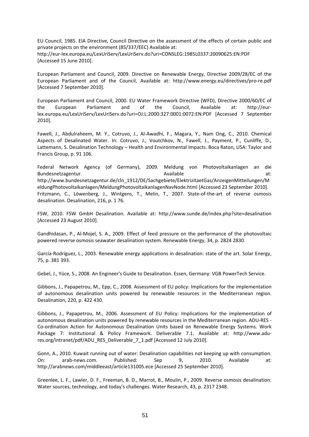EU Council, 1985. EIA Directive, Council Directive on the assessment of the effects of certain public and private projects on the environment (85/337/EEC) Available at: http://eur‐lex.europa.eu/LexUriServ/LexUriServ.do?uri=CONSLEG:1985L0337:20090625:EN:PDF [Accessed 15 June 2010].

European Parliament and Council, 2009. Directive on Renewable Energy, Directive 2009/28/EC of the European Parliament and of the Council, Available at: http://www.energy.eu/directives/pro‐re.pdf [Accessed 7 September 2010].

European Parliament and Council, 2000. EU Water Framework Directive (WFD), Directive 2000/60/EC of the European Parliament and of the Council, Available at: http://eur‐ lex.europa.eu/LexUriServ/LexUriServ.do?uri=OJ:L:2000:327:0001:0072:EN:PDF [Accessed 7 September 2010].

Fawell, J., Abdulraheem, M. Y., Cotruvo, J., Al‐Awadhi, F., Magara, Y., Nam Ong, C., 2010. Chemical Aspects of Desalinated Water. In: Cotruvo, J., Voutchkov, N., Fawell, J., Payment, P., Cunliffe, D., Lattemann, S. Desalination Technology – Health and Environmental Impacts. Boca Raton, USA: Taylor and Francis Group, p. 91 106.

Federal Network Agency (of Germany), 2009. Meldung von Photovoltaikanlagen an die Bundesnetzagentur. Available at: Available at: Available at: Available at: Available at: Available at: Available http://www.bundesnetzagentur.de/cln\_1912/DE/Sachgebiete/ElektrizitaetGas/AnzeigenMitteilungen/M eldungPhotovoltaikanlagen/MeldungPhotovoltaikanlagenNavNode.html [Accessed 23 September 2010]. Fritzmann, C., Löwenberg, J., Wintgens, T., Melin, T., 2007. State-of-the-art of reverse osmosis desalination. Desalination, 216, p. 1 76.

FSW, 2010. FSW GmbH Desalination. Available at: http://www.sunde.de/index.php?site=desalination [Accessed 23 August 2010].

Gandhidasan, P., Al‐Mojel, S. A., 2009. Effect of feed pressure on the performance of the photovoltaic powered reverse osmosis seawater desalination system. Renewable Energy, 34, p. 2824 2830.

García‐Rodríguez, L., 2003. Renewable energy applications in desalination: state of the art. Solar Energy, 75, p. 381 393.

Gebel, J., Yüce, S., 2008. An Engineer's Guide to Desalination. Essen, Germany: VGB PowerTech Service.

Gibbons, J., Papapetrou, M., Epp, C., 2008. Assessment of EU policy: Implications for the implementation of autonomous desalination units powered by renewable resources in the Mediterranean region. Desalination, 220, p. 422 430.

Gibbons, J., Papapetrou, M., 2006. Assessment of EU Policy: Implications for the implementation of autonomous desalination units powered by renewable resources in the Mediterranean region. ADU‐RES ‐ Co‐ordination Action for Autonomous Desalination Units based on Renewable Energy Systems. Work Package 7: Institutional & Policy Framework. Deliverable 7.1. Available at: http://www.adu‐ res.org/intranet/pdf/ADU\_RES\_Deliverable\_7\_1.pdf [Accessed 12 July 2010].

Gonn, A., 2010. Kuwait running out of water: Desalination capabilities not keeping up with consumption. On: arab‐news.com. Published: Sep 9, 2010. Available at: http://arabnews.com/middleeast/article131005.ece [Accessed 25 September 2010].

Greenlee, L. F., Lawler, D. F., Freeman, B. D., Marrot, B., Moulin, P., 2009. Reverse osmosis desalination: Water sources, technology, and today's challenges. Water Research, 43, p. 2317 2348.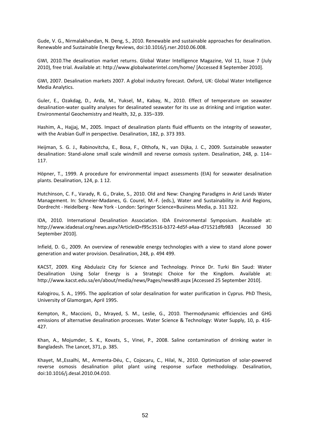Gude, V. G., Nirmalakhandan, N. Deng, S., 2010. Renewable and sustainable approaches for desalination. Renewable and Sustainable Energy Reviews, doi:10.1016/j.rser.2010.06.008.

GWI, 2010.The desalination market returns. Global Water Intelligence Magazine, Vol 11, Issue 7 (July 2010), free trial. Available at: http://www.globalwaterintel.com/home/ [Accessed 8 September 2010].

GWI, 2007. Desalination markets 2007. A global industry forecast. Oxford, UK: Global Water Intelligence Media Analytics.

Guler, E., Ozakdag, D., Arda, M., Yuksel, M., Kabay, N., 2010. Effect of temperature on seawater desalination‐water quality analyses for desalinated seawater for its use as drinking and irrigation water. Environmental Geochemistry and Health, 32, p. 335–339.

Hashim, A., Hajjaj, M., 2005. Impact of desalination plants fluid effluents on the integrity of seawater, with the Arabian Gulf in perspective. Desalination, 182, p. 373 393.

Heijman, S. G. J., Rabinovitcha, E., Bosa, F., Olthofa, N., van Dijka, J. C., 2009. Sustainable seawater desalination: Stand‐alone small scale windmill and reverse osmosis system. Desalination, 248, p. 114– 117.

Höpner, T., 1999. A procedure for environmental impact assessments (EIA) for seawater desalination plants. Desalination, 124, p. 1 12.

Hutchinson, C. F., Varady, R. G., Drake, S., 2010. Old and New: Changing Paradigms in Arid Lands Water Management. In: Schneier‐Madanes, G. Courel, M.‐F. (eds.), Water and Sustainability in Arid Regions, Dordrecht ‐ Heidelberg ‐ New York ‐ London: Springer Science+Business Media, p. 311 322.

IDA, 2010. International Desalination Association. IDA Environmental Symposium. Available at: http://www.idadesal.org/news.aspx?ArticleID=f95c3516‐b372‐4d5f‐a4aa‐d71521dfb983 [Accessed 30 September 2010].

Infield, D. G., 2009. An overview of renewable energy technologies with a view to stand alone power generation and water provision. Desalination, 248, p. 494 499.

KACST, 2009. King Abdulaziz City for Science and Technology. Prince Dr. Turki Bin Saud: Water Desalination Using Solar Energy is a Strategic Choice for the Kingdom. Available at: http://www.kacst.edu.sa/en/about/media/news/Pages/news89.aspx [Accessed 25 September 2010].

Kalogirou, S. A., 1995. The application of solar desalination for water purification in Cyprus. PhD Thesis, University of Glamorgan, April 1995.

Kempton, R., Maccioni, D., Mrayed, S. M., Leslie, G., 2010. Thermodynamic efficiencies and GHG emissions of alternative desalination processes. Water Science & Technology: Water Supply, 10, p. 416‐ 427.

Khan, A., Mojumder, S. K., Kovats, S., Vinei, P., 2008. Saline contamination of drinking water in Bangladesh. The Lancet, 371, p. 385.

Khayet, M.,Essalhi, M., Armenta‐Déu, C., Cojocaru, C., Hilal, N., 2010. Optimization of solar‐powered reverse osmosis desalination pilot plant using response surface methodology. Desalination, doi:10.1016/j.desal.2010.04.010.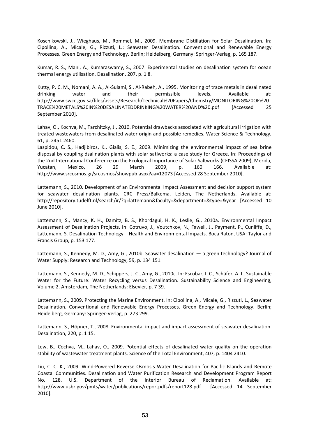Koschikowski, J., Wieghaus, M., Rommel, M., 2009. Membrane Distillation for Solar Desalination. In: Cipollina, A., Micale, G., Rizzuti, L.: Seawater Desalination. Conventional and Renewable Energy Processes. Green Energy and Technology. Berlin; Heidelberg, Germany: Springer‐Verlag, p. 165 187.

Kumar, R. S., Mani, A., Kumaraswamy, S., 2007. Experimental studies on desalination system for ocean thermal energy utilisation. Desalination, 207, p. 1 8.

Kutty, P. C. M., Nomani, A. A., Al‐Sulami, S., Al‐Rabeh, A., 1995. Monitoring of trace metals in desalinated drinking water and their permissible levels. Available at: http://www.swcc.gov.sa/files/assets/Research/Technical%20Papers/Chemstry/MONITORING%20OF%20 TRACE%20METALS%20IN%20DESALINATEDDRINKING%20WATER%20AND%20.pdf [Accessed 25 September 2010].

Lahav, O., Kochva, M., Tarchitzky, J., 2010. Potential drawbacks associated with agricultural irrigation with treated wastewaters from desalinated water origin and possible remedies. Water Science & Technology, 61, p. 2451 2460.

Laspidou, C. S., Hadjibiros, K., Gialis, S. E., 2009. Minimizing the environmental impact of sea brine disposal by coupling dsalination plants with solar satlworks: a case study for Greece. In: Proceedings of the 2nd International Conference on the Ecological Importance of Solar Saltworks (CEISSA 2009), Merida, Yucatan, Mexico, 26 29 March 2009, p. 160 166. Available at: http://www.srcosmos.gr/srcosmos/showpub.aspx?aa=12073 [Accessed 28 September 2010].

Lattemann, S., 2010. Development of an Environmental Impact Assessment and decision support system for seawater desalination plants. CRC Press/Balkema, Leiden, The Netherlands. Available at: http://repository.tudelft.nl/search/ir/?q=lattemann&faculty=&department=&type=&year [Accessed 10 June 2010].

Lattemann, S., Mancy, K. H., Damitz, B. S., Khordagui, H. K., Leslie, G., 2010a. Environmental Impact Assessment of Desalination Projects. In: Cotruvo, J., Voutchkov, N., Fawell, J., Payment, P., Cunliffe, D., Lattemann, S. Desalination Technology – Health and Environmental Impacts. Boca Raton, USA: Taylor and Francis Group, p. 153 177.

Lattemann, S., Kennedy, M. D., Amy, G., 2010b. Seawater desalination — a green technology? Journal of Water Supply: Research and Technology, 59, p. 134 151.

Lattemann, S., Kennedy, M. D., Schippers, J. C., Amy, G., 2010c. In: Escobar, I. C., Schäfer, A. I., Sustainable Water for the Future: Water Recycling versus Desalination. Sustainability Science and Engineering, Volume 2. Amsterdam, The Netherlands: Elsevier, p. 7 39.

Lattemann, S., 2009. Protecting the Marine Environment. In: Cipollina, A., Micale, G., Rizzuti, L., Seawater Desalination. Conventional and Renewable Energy Processes. Green Energy and Technology. Berlin; Heidelberg, Germany: Springer‐Verlag, p. 273 299.

Lattemann, S., Höpner, T., 2008. Environmental impact and impact assessment of seawater desalination. Desalination, 220, p. 1 15.

Lew, B., Cochva, M., Lahav, O., 2009. Potential effects of desalinated water quality on the operation stability of wastewater treatment plants. Science of the Total Environment, 407, p. 1404 2410.

Liu, C. C. K., 2009. Wind‐Powered Reverse Osmosis Water Desalination for Pacific Islands and Remote Coastal Communities. Desalination and Water Purification Research and Development Program Report No. 128. U.S. Department of the Interior Bureau of Reclamation. Available at: http://www.usbr.gov/pmts/water/publications/reportpdfs/report128.pdf [Accessed 14 September 2010].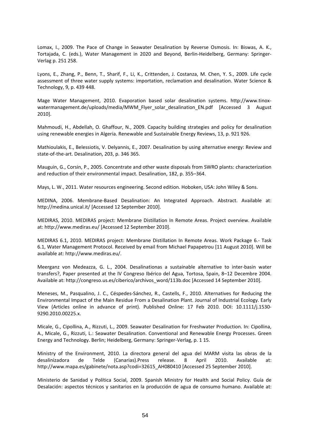Lomax, I., 2009. The Pace of Change in Seawater Desalination by Reverse Osmosis. In: Biswas, A. K., Tortajada, C. (eds.), Water Management in 2020 and Beyond, Berlin‐Heidelberg, Germany: Springer‐ Verlag p. 251 258.

Lyons, E., Zhang, P., Benn, T., Sharif, F., Li, K., Crittenden, J. Costanza, M. Chen, Y. S., 2009. Life cycle assessment of three water supply systems: importation, reclamation and desalination. Water Science & Technology, 9, p. 439 448.

Mage Water Management, 2010. Evaporation based solar desalination systems. http://www.tinox‐ watermanagement.de/uploads/media/MWM\_Flyer\_solar\_desalination\_EN.pdf [Accessed 3 August 2010].

Mahmoudi, H., Abdellah, O. Ghaffour, N., 2009. Capacity building strategies and policy for desalination using renewable energies in Algeria. Renewable and Sustainable Energy Reviews, 13, p. 921 926.

Mathioulakis, E., Belessiotis, V. Delyannis, E., 2007. Desalination by using alternative energy: Review and state‐of‐the‐art. Desalination, 203, p. 346 365.

Mauguin, G., Corsin, P., 2005. Concentrate and other waste disposals from SWRO plants: characterization and reduction of their environmental impact. Desalination, 182, p. 355–364.

Mays, L. W., 2011. Water resources engineering. Second edition. Hoboken, USA: John Wiley & Sons.

MEDINA, 2006. Membrane‐Based Desalination: An Integrated Approach. Abstract. Available at: http://medina.unical.it/ [Accessed 12 September 2010].

MEDIRAS, 2010. MEDIRAS project: Membrane Distillation In Remote Areas. Project overview. Available at: http://www.mediras.eu/ [Accessed 12 September 2010].

MEDIRAS 6.1, 2010. MEDIRAS project: Membrane Distillation In Remote Areas. Work Package 6.‐ Task 6.1, Water Management Protocol. Received by email from Michael Papapetrou [11 August 2010]. Will be available at: http://www.mediras.eu/.

Meerganz von Medeazza, G. L., 2004. Desalinationas a sustainable alternative to inter‐basin water transfers?, Paper presented at the IV Congreso Ibérico del Agua, Tortosa, Spain, 8–12 Decembre 2004. Available at: http://congreso.us.es/ciberico/archivos\_word/113b.doc [Accessed 14 September 2010].

Meneses, M., Pasqualino, J. C., Céspedes‐Sánchez, R., Castells, F., 2010. Alternatives for Reducing the Environmental Impact of the Main Residue From a Desalination Plant. Journal of Industrial Ecology. Early View (Articles online in advance of print). Published Online: 17 Feb 2010. DOI: 10.1111/j.1530‐ 9290.2010.00225.x.

Micale, G., Cipollina, A., Rizzuti, L., 2009. Seawater Desalination for Freshwater Production. In: Cipollina, A., Micale, G., Rizzuti, L.: Seawater Desalination. Conventional and Renewable Energy Processes. Green Energy and Technology. Berlin; Heidelberg, Germany: Springer‐Verlag, p. 1 15.

Ministry of the Environment, 2010. La directora general del agua del MARM visita las obras de la desalinizadora de Telde (Canarias).Press release. 8 April 2010. Available at: http://www.mapa.es/gabinete/nota.asp?codi=32615\_AH080410 [Accessed 25 September 2010].

Ministerio de Sanidad y Política Social, 2009. Spanish Ministry for Health and Social Policy. Guía de Desalación: aspectos técnicos y sanitarios en la producción de agua de consumo humano. Available at: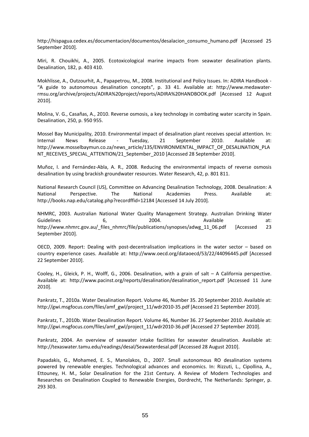http://hispagua.cedex.es/documentacion/documentos/desalacion\_consumo\_humano.pdf [Accessed 25 September 2010].

Miri, R. Chouikhi, A., 2005. Ecotoxicological marine impacts from seawater desalination plants. Desalination, 182, p. 403 410.

Mokhlisse, A., Outzourhit, A., Papapetrou, M., 2008. Institutional and Policy Issues. In: ADIRA Handbook ‐ "A guide to autonomous desalination concepts", p. 33 41. Available at: http://www.medawater‐ rmsu.org/archive/projects/ADIRA%20project/reports/ADIRA%20HANDBOOK.pdf [Accessed 12 August 2010].

Molina, V. G., Casañas, A., 2010. Reverse osmosis, a key technology in combating water scarcity in Spain. Desalination, 250, p. 950 955.

Mossel Bay Municipality, 2010. Environmental impact of desalination plant receives special attention. In: Internal News Release ‐ Tuesday, 21 September 2010. Available at: http://www.mosselbaymun.co.za/news\_article/135/ENVIRONMENTAL\_IMPACT\_OF\_DESALINATION\_PLA NT\_RECEIVES\_SPECIAL\_ATTENTION/21\_September\_2010 [Accessed 28 September 2010].

Muñoz, I. and Fernández‐Abla, A. R., 2008. Reducing the environmental impacts of reverse osmosis desalination by using brackish groundwater resources. Water Research, 42, p. 801 811.

National Research Council (US), Committee on Advancing Desalination Technology, 2008. Desalination: A National Perspective. The National Academies Press. Available at: http://books.nap.edu/catalog.php?recordffid=12184 [Accessed 14 July 2010].

NHMRC, 2003. Australian National Water Quality Management Strategy. Australian Drinking Water Guidelines 6, 2004. Available at: http://www.nhmrc.gov.au/\_files\_nhmrc/file/publications/synopses/adwg\_11\_06.pdf [Accessed 23 September 2010].

OECD, 2009. Report: Dealing with post-decentralisation implications in the water sector – based on country experience cases. Available at: http://www.oecd.org/dataoecd/53/22/44096445.pdf [Accessed 22 September 2010].

Cooley, H., Gleick, P. H., Wolff, G., 2006. Desalination, with a grain of salt – A California perspective. Available at: http://www.pacinst.org/reports/desalination/desalination\_report.pdf [Accessed 11 June 2010].

Pankratz, T., 2010a. Water Desalination Report. Volume 46, Number 35. 20 September 2010. Available at: http://gwi.msgfocus.com/files/amf\_gwl/project\_11/wdr2010-35.pdf [Accessed 21 September 2010].

Pankratz, T., 2010b. Water Desalination Report. Volume 46, Number 36. 27 September 2010. Available at: http://gwi.msgfocus.com/files/amf\_gwl/project\_11/wdr2010-36.pdf [Accessed 27 September 2010].

Pankratz, 2004. An overview of seawater intake facilities for seawater desalination. Available at: http://texaswater.tamu.edu/readings/desal/Seawaterdesal.pdf [Accessed 28 August 2010].

Papadakis, G., Mohamed, E. S., Manolakos, D., 2007. Small autonomous RO desalination systems powered by renewable energies. Technological advances and economics. In: Rizzuti, L., Cipollina, A., Ettouney, H. M., Solar Desalination for the 21st Century. A Review of Modern Technologies and Researches on Desalination Coupled to Renewable Energies, Dordrecht, The Netherlands: Springer, p. 293 303.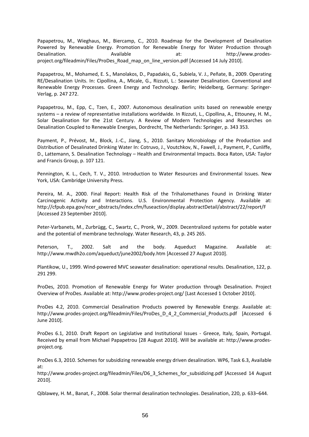Papapetrou, M., Wieghaus, M., Biercamp, C., 2010. Roadmap for the Development of Desalination Powered by Renewable Energy. Promotion for Renewable Energy for Water Production through Desalination. 
at: http://www.prodesproject.org/fileadmin/Files/ProDes\_Road\_map\_on\_line\_version.pdf [Accessed 14 July 2010].

Papapetrou, M., Mohamed, E. S., Manolakos, D., Papadakis, G., Subiela, V. J., Peñate, B., 2009. Operating RE/Desalination Units. In: Cipollina, A., Micale, G., Rizzuti, L.: Seawater Desalination. Conventional and Renewable Energy Processes. Green Energy and Technology. Berlin; Heidelberg, Germany: Springer‐ Verlag, p. 247 272.

Papapetrou, M., Epp, C., Tzen, E., 2007. Autonomous desalination units based on renewable energy systems – a review of representative installations worldwide. In Rizzuti, L., Cipollina, A., Ettouney, H. M., Solar Desalination for the 21st Century. A Review of Modern Technologies and Researches on Desalination Coupled to Renewable Energies, Dordrecht, The Netherlands: Springer, p. 343 353.

Payment, P., Prévost, M., Block, J.-C., Jiang, S., 2010. Sanitary Microbiology of the Production and Distribution of Desalinated Drinking Water In: Cotruvo, J., Voutchkov, N., Fawell, J., Payment, P., Cunliffe, D., Lattemann, S. Desalination Technology – Health and Environmental Impacts. Boca Raton, USA: Taylor and Francis Group, p. 107 121.

Pennington, K. L., Cech, T. V., 2010. Introduction to Water Resources and Environmental Issues. New York, USA: Cambridge University Press.

Pereira, M. A., 2000. Final Report: Health Risk of the Trihalomethanes Found in Drinking Water Carcinogenic Activity and Interactions. U.S. Environmental Protection Agency. Available at: http://cfpub.epa.gov/ncer\_abstracts/index.cfm/fuseaction/display.abstractDetail/abstract/22/report/F [Accessed 23 September 2010].

Peter‐Varbanets, M., Zurbrügg, C., Swartz, C., Pronk, W., 2009. Decentralized systems for potable water and the potential of membrane technology. Water Research, 43, p. 245 265.

Peterson, T., 2002. Salt and the body. Aqueduct Magazine. Available at: http://www.mwdh2o.com/aqueduct/june2002/body.htm [Accessed 27 August 2010].

Plantikow, U., 1999. Wind‐powered MVC seawater desalination: operational results. Desalination, 122, p. 291 299.

ProDes, 2010. Promotion of Renewable Energy for Water production through Desalination. Project Overview of ProDes. Available at: http://www.prodes‐project.org/ [Last Accessed 1 October 2010].

ProDes 4.2, 2010. Commercial Desalination Products powered by Renewable Energy. Available at: http://www.prodes-project.org/fileadmin/Files/ProDes\_D\_4\_2\_Commercial\_Products.pdf [Accessed 6 June 2010].

ProDes 6.1, 2010. Draft Report on Legislative and Institutional Issues ‐ Greece, Italy, Spain, Portugal. Received by email from Michael Papapetrou [28 August 2010]. Will be available at: http://www.prodes‐ project.org.

ProDes 6.3, 2010. Schemes for subsidizing renewable energy driven desalination. WP6, Task 6.3, Available at:

http://www.prodes-project.org/fileadmin/Files/D6\_3\_Schemes\_for\_subsidizing.pdf [Accessed 14 August 2010].

Qiblawey, H. M., Banat, F., 2008. Solar thermal desalination technologies. Desalination, 220, p. 633–644.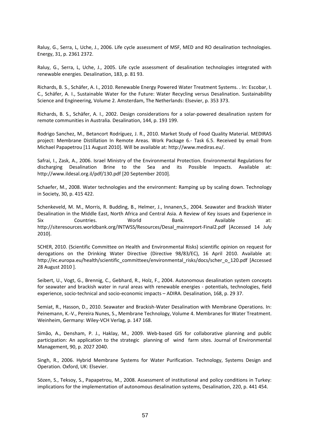Raluy, G., Serra, L, Uche, J., 2006. Life cycle assessment of MSF, MED and RO desalination technologies. Energy, 31, p. 2361 2372.

Raluy, G., Serra, L, Uche, J., 2005. Life cycle assessment of desalination technologies integrated with renewable energies. Desalination, 183, p. 81 93.

Richards, B. S., Schäfer, A. I., 2010. Renewable Energy Powered Water Treatment Systems. . In: Escobar, I. C., Schäfer, A. I., Sustainable Water for the Future: Water Recycling versus Desalination. Sustainability Science and Engineering, Volume 2. Amsterdam, The Netherlands: Elsevier, p. 353 373.

Richards, B. S., Schäfer, A. I., 2002. Design considerations for a solar‐powered desalination system for remote communities in Australia. Desalination, 144, p. 193 199.

Rodrigo Sanchez, M., Betancort Rodríguez, J. R., 2010. Market Study of Food Quality Material. MEDIRAS project: Membrane Distillation In Remote Areas. Work Package 6.‐ Task 6.5. Received by email from Michael Papapetrou [11 August 2010]. Will be available at: http://www.mediras.eu/.

Safrai, I., Zask, A., 2006. Israel Ministry of the Environmental Protection. Environmental Regulations for discharging Desalination Brine to the Sea and its Possible Impacts. Available at: http://www.ildesal.org.il/pdf/130.pdf [20 September 2010].

Schaefer, M., 2008. Water technologies and the environment: Ramping up by scaling down. Technology in Society, 30, p. 415 422.

Schenkeveld, M. M., Morris, R. Budding, B., Helmer, J., Innanen,S., 2004. Seawater and Brackish Water Desalination in the Middle East, North Africa and Central Asia. A Review of Key issues and Experience in Six Countries. World Bank. Available at: http://siteresources.worldbank.org/INTWSS/Resources/Desal\_mainreport-Final2.pdf [Accessed 14 July 2010].

SCHER, 2010. (Scientific Committee on Health and Environmental Risks) scientific opinion on request for derogations on the Drinking Water Directive (Directive 98/83/EC), 16 April 2010. Available at: http://ec.europa.eu/health/scientific\_committees/environmental\_risks/docs/scher\_o\_120.pdf [Accessed 28 August 2010 ].

Seibert, U., Vogt, G., Brennig, C., Gebhard, R., Holz, F., 2004. Autonomous desalination system concepts for seawater and brackish water in rural areas with renewable energies - potentials, technologies, field experience, socio‐technical and socio‐economic impacts – ADIRA. Desalination, 168, p. 29 37.

Semiat, R., Hasson, D., 2010. Seawater and Brackish-Water Desalination with Membrane Operations. In: Peinemann, K.‐V., Pereira Nunes, S., Membrane Technology, Volume 4. Membranes for Water Treatment. Weinheim, Germany: Wiley‐VCH Verlag, p. 147 168.

Simão, A., Densham, P. J., Haklay, M., 2009. Web‐based GIS for collaborative planning and public participation: An application to the strategic planning of wind farm sites. Journal of Environmental Management, 90, p. 2027 2040.

Singh, R., 2006. Hybrid Membrane Systems for Water Purification. Technology, Systems Design and Operation. Oxford, UK: Elsevier.

Sözen, S., Teksoy, S., Papapetrou, M., 2008. Assessment of institutional and policy conditions in Turkey: implications for the implementation of autonomous desalination systems, Desalination, 220, p. 441 454.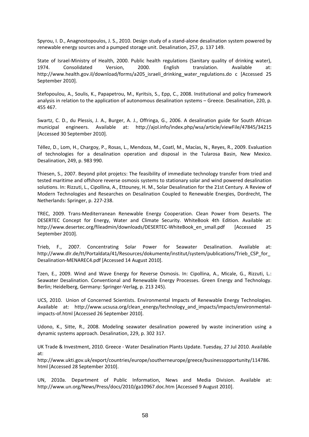Spyrou, I. D., Anagnostopoulos, J. S., 2010. Design study of a stand‐alone desalination system powered by renewable energy sources and a pumped storage unit. Desalination, 257, p. 137 149.

State of Israel-Ministry of Health, 2000. Public health regulations (Sanitary quality of drinking water), 1974. Consolidated Version, 2000. English translation. Available at: http://www.health.gov.il/download/forms/a205\_israeli\_drinking\_water\_regulations.do c [Accessed 25 September 2010].

Stefopoulou, A., Soulis, K., Papapetrou, M., Kyritsis, S., Epp, C., 2008. Institutional and policy framework analysis in relation to the application of autonomous desalination systems – Greece. Desalination, 220, p. 455 467.

Swartz, C. D., du Plessis, J. A., Burger, A. J., Offringa, G., 2006. A desalination guide for South African municipal engineers. Available at: http://ajol.info/index.php/wsa/article/viewFile/47845/34215 [Accessed 30 September 2010].

Téllez, D., Lom, H., Chargoy, P., Rosas, L., Mendoza, M., Coatl, M., Macías, N., Reyes, R., 2009. Evaluation of technologies for a desalination operation and disposal in the Tularosa Basin, New Mexico. Desalination, 249, p. 983 990.

Thiesen, S., 2007. Beyond pilot projetcs: The feasibility of immediate technology transfer from tried and tested maritime and offshore reverse osmosis systems to stationary solar and wind powered desalination solutions. In: Rizzuti, L., Cipollina, A., Ettouney, H. M., Solar Desalination for the 21st Century. A Review of Modern Technologies and Researches on Desalination Coupled to Renewable Energies, Dordrecht, The Netherlands: Springer, p. 227‐238.

TREC, 2009. Trans‐Mediterranean Renewable Energy Cooperation. Clean Power from Deserts. The DESERTEC Concept for Energy, Water and Climate Security. WhiteBook 4th Edition. Available at: http://www.desertec.org/fileadmin/downloads/DESERTEC-WhiteBook\_en\_small.pdf [Accessed 25 September 2010].

Trieb, F., 2007. Concentrating Solar Power for Seawater Desalination. Available at: http://www.dlr.de/tt/Portaldata/41/Resources/dokumente/institut/system/publications/Trieb\_CSP\_for\_ Desalination‐MENAREC4.pdf [Accessed 14 August 2010].

Tzen, E., 2009. Wind and Wave Energy for Reverse Osmosis. In: Cipollina, A., Micale, G., Rizzuti, L.: Seawater Desalination. Conventional and Renewable Energy Processes. Green Energy and Technology. Berlin; Heidelberg, Germany: Springer‐Verlag, p. 213 245).

UCS, 2010. Union of Concerned Scientists. Environmental Impacts of Renewable Energy Technologies. Available at: http://www.ucsusa.org/clean\_energy/technology\_and\_impacts/impacts/environmentalimpacts‐of.html [Accessed 26 September 2010].

Udono, K., Sitte, R., 2008. Modeling seawater desalination powered by waste incineration using a dynamic systems approach. Desalination, 229, p. 302 317.

UK Trade & Investment, 2010. Greece ‐ Water Desalination Plants Update. Tuesday, 27 Jul 2010. Available at:

http://www.ukti.gov.uk/export/countries/europe/southerneurope/greece/businessopportunity/114786. html [Accessed 28 September 2010].

UN, 2010a. Department of Public Information, News and Media Division. Available at: http://www.un.org/News/Press/docs/2010/ga10967.doc.htm [Accessed 9 August 2010].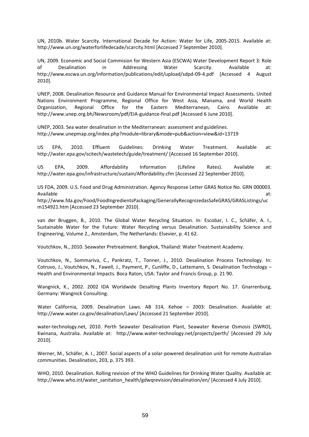UN, 2010b. Water Scarcity. International Decade for Action: Water for Life, 2005-2015. Available at: http://www.un.org/waterforlifedecade/scarcity.html [Accessed 7 September 2010].

UN, 2009. Economic and Social Commision for Western Asia (ESCWA) Water Development Report 3: Role of Desalination in Addressing Water Scarcity. Available at: http://www.escwa.un.org/information/publications/edit/upload/sdpd‐09‐4.pdf [Accessed 4 August 2010].

UNEP, 2008. Desalination Resource and Guidance Manual for Environmental Impact Assessments. United Nations Environment Programme, Regional Office for West Asia, Manama, and World Health Organization, Regional Office for the Eastern Mediterranean, Cairo. Available at: http://www.unep.org.bh/Newsroom/pdf/EIA-guidance-final.pdf [Accessed 6 June 2010].

UNEP, 2003. Sea water desalination in the Mediterranean: assessment and guidelines. http://www.unepmap.org/index.php?module=library&mode=pub&action=view&id=13719

US EPA, 2010. Effluent Guidelines: Drinking Water Treatment. Available at: http://water.epa.gov/scitech/wastetech/guide/treatment/ [Accessed 16 September 2010].

US EPA, 2009. Affordability Information (Lifeline Rates). Available at: http://water.epa.gov/infrastructure/sustain/Affordability.cfm [Accessed 22 September 2010].

US FDA, 2009. U.S. Food and Drug Administration. Agency Response Letter GRAS Notice No. GRN 000003. Available at: http://www.fda.gov/Food/FoodIngredientsPackaging/GenerallyRecognizedasSafeGRAS/GRASListings/uc m154921.htm [Accessed 23 September 2010].

van der Bruggen, B., 2010. The Global Water Recycling Situation. In: Escobar, I. C., Schäfer, A. I., Sustainable Water for the Future: Water Recycling versus Desalination. Sustainability Science and Engineering, Volume 2., Amsterdam, The Netherlands: Elsevier, p. 41 62.

Voutchkov, N., 2010. Seawater Pretreatment. Bangkok, Thailand: Water Treatment Academy.

Voutchkov, N., Sommariva, C., Pankratz, T., Tonner, J., 2010. Desalination Process Technology. In: Cotruvo, J., Voutchkov, N., Fawell, J., Payment, P., Cunliffe, D., Lattemann, S. Desalination Technology – Health and Environmental Impacts. Boca Raton, USA: Taylor and Francis Group, p. 21 90.

Wangnick, K., 2002. 2002 IDA Worldwide Desalting Plants Inventory Report No. 17. Gnarrenburg, Germany: Wangnick Consulting.

Water California, 2009. Desalination Laws. AB 314, Kehoe – 2003: Desalination. Available at: http://www.water.ca.gov/desalination/Laws/ [Accessed 21 September 2010].

water-technology.net, 2010. Perth Seawater Desalination Plant, Seawater Reverse Osmosis (SWRO). Kwinana, Australia. Available at: http://www.water‐technology.net/projects/perth/ [Accessed 29 July 2010].

Werner, M., Schäfer, A. I., 2007. Social aspects of a solar‐powered desalination unit for remote Australian communities. Desalination, 203, p. 375 393.

WHO, 2010. Desalination. Rolling revision of the WHO Guidelines for Drinking Water Quality. Available at: http://www.who.int/water\_sanitation\_health/gdwqrevision/desalination/en/ [Accessed 4 July 2010].